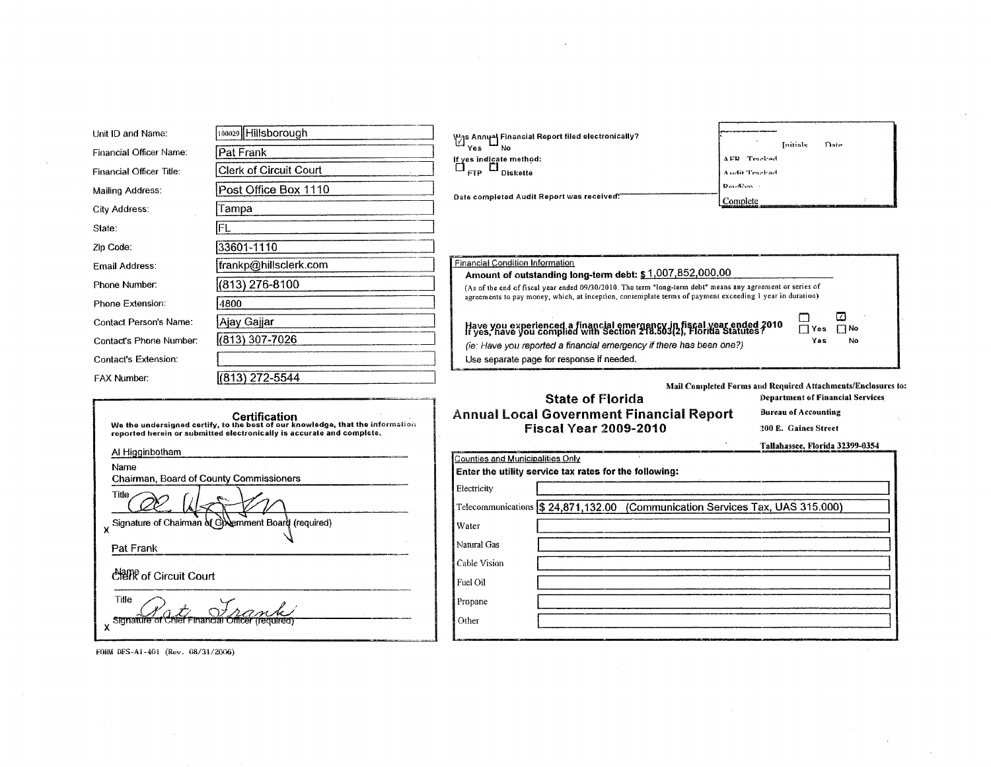| Financial Officer Name:                         | 100029 Hillsborough                                                                                                                                                             | Was Annual Financial Report filed electronically?                                                                                                                      |                                                                                                                                   |
|-------------------------------------------------|---------------------------------------------------------------------------------------------------------------------------------------------------------------------------------|------------------------------------------------------------------------------------------------------------------------------------------------------------------------|-----------------------------------------------------------------------------------------------------------------------------------|
|                                                 | Pat Frank                                                                                                                                                                       | Yes<br>If yes indicate method:                                                                                                                                         | Date<br>Initiale<br>AFP Tracked                                                                                                   |
| <b>Financial Officer Title:</b>                 | <b>Clerk of Circuit Court</b>                                                                                                                                                   | $\Box$ $_{\rm FTP}$ $\Box$ Diskette                                                                                                                                    | Audit Tracked                                                                                                                     |
| Mailing Address:                                | Post Office Box 1110                                                                                                                                                            | Date completed Audit Report was received:                                                                                                                              | Rouffun                                                                                                                           |
| <b>City Address:</b>                            | Tampa                                                                                                                                                                           |                                                                                                                                                                        | Complete                                                                                                                          |
| State:                                          | lFL                                                                                                                                                                             |                                                                                                                                                                        |                                                                                                                                   |
| Zip Code:                                       | 33601-1110                                                                                                                                                                      |                                                                                                                                                                        |                                                                                                                                   |
| Email Address:                                  | frankp@hillsclerk.com                                                                                                                                                           | <b>Financial Condition Information</b>                                                                                                                                 |                                                                                                                                   |
| Phone Number:                                   | (813) 276-8100                                                                                                                                                                  | Amount of outstanding long-term debt: \$1,007,852,000.00<br>(As of the end of fiscal year ended 09/30/2010. The term "long-term debt" means any agreement or series of |                                                                                                                                   |
| Phone Extension:                                | 4800                                                                                                                                                                            | agreements to pay money, which, at inception, contemplate terms of payment exceeding 1 year in duration)                                                               |                                                                                                                                   |
| <b>Contact Person's Name:</b>                   | Ajay Gajjar                                                                                                                                                                     | Have you experienced a financial emergency in fiscal year ended 2010<br>If yes, have you complied with Section 218.503(2), Florida Statutes?                           | ☑<br>$\Box$ No<br>∏ Yes                                                                                                           |
| Contact's Phone Number:                         | $(813)$ 307-7026                                                                                                                                                                | (ie: Have you reported a financial emergency if there has been one?)                                                                                                   | Yas<br>No                                                                                                                         |
| Contact's Extension.                            |                                                                                                                                                                                 | Use separate page for response if needed.                                                                                                                              |                                                                                                                                   |
| FAX Number:                                     | $(813)$ 272-5544                                                                                                                                                                |                                                                                                                                                                        |                                                                                                                                   |
|                                                 |                                                                                                                                                                                 |                                                                                                                                                                        | Mail Completed Forms and Required Attachments/Enclosures to:                                                                      |
| Al Higginbotham                                 | <b>Certification</b><br>We the undersigned certify, to the best of our knowledge, that the information<br>reported herein or submitted electronically is accurate and complete. | <b>State of Florida</b><br><b>Annual Local Government Financial Report</b><br><b>Fiscal Year 2009-2010</b>                                                             | <b>Department of Financial Services</b><br><b>Bureau of Accounting</b><br>200 E. Gaines Street<br>Tallahassee, Florida 32399-0354 |
| Name<br>Chairman, Board of County Commissioners |                                                                                                                                                                                 | Counties and Municipalities Only<br>Enter the utility service tax rates for the following:                                                                             |                                                                                                                                   |

4

FORM DFS-A1-401 (Rev. 08/31/2006)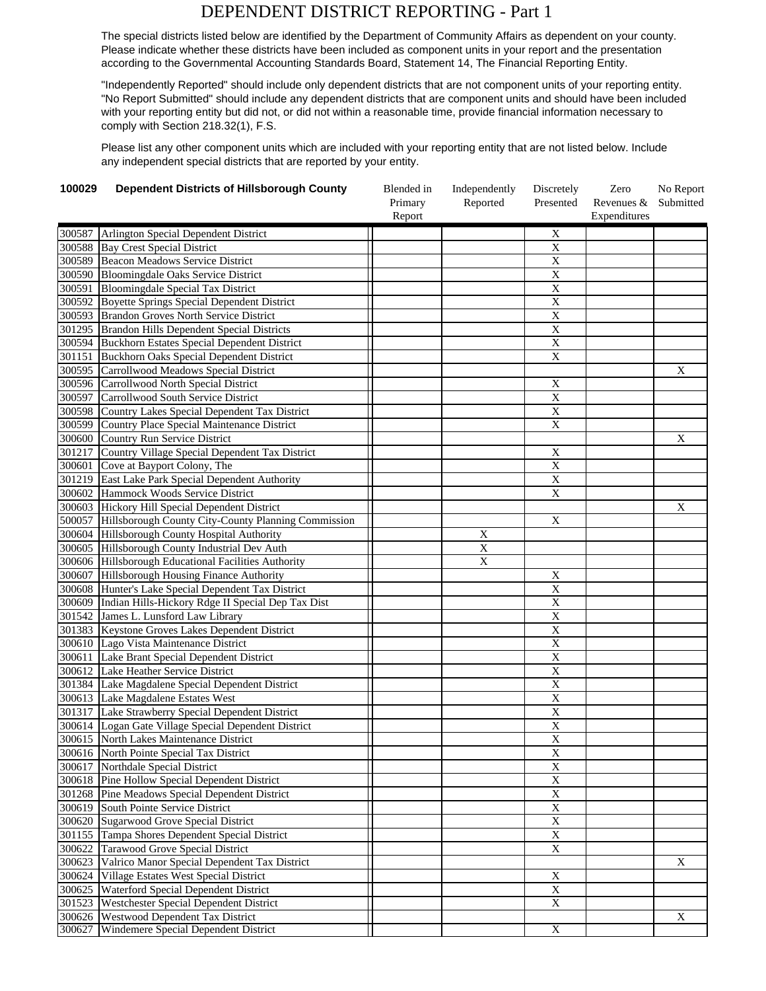## DEPENDENT DISTRICT REPORTING - Part 1

The special districts listed below are identified by the Department of Community Affairs as dependent on your county. Please indicate whether these districts have been included as component units in your report and the presentation according to the Governmental Accounting Standards Board, Statement 14, The Financial Reporting Entity.

"Independently Reported" should include only dependent districts that are not component units of your reporting entity. "No Report Submitted" should include any dependent districts that are component units and should have been included with your reporting entity but did not, or did not within a reasonable time, provide financial information necessary to comply with Section 218.32(1), F.S.

Please list any other component units which are included with your reporting entity that are not listed below. Include any independent special districts that are reported by your entity.

| 100029           | <b>Dependent Districts of Hillsborough County</b>                         | Blended in<br>Primary | Independently<br>Reported | Discretely<br>Presented | Zero<br>Revenues & | No Report<br>Submitted |
|------------------|---------------------------------------------------------------------------|-----------------------|---------------------------|-------------------------|--------------------|------------------------|
|                  |                                                                           | Report                |                           |                         | Expenditures       |                        |
| 300587           | Arlington Special Dependent District                                      |                       |                           | $\mathbf X$             |                    |                        |
| 300588           | <b>Bay Crest Special District</b>                                         |                       |                           | $\overline{X}$          |                    |                        |
| 300589           | <b>Beacon Meadows Service District</b>                                    |                       |                           | $\mathbf X$             |                    |                        |
| 300590           | Bloomingdale Oaks Service District                                        |                       |                           | $\mathbf X$             |                    |                        |
| 300591           | <b>Bloomingdale Special Tax District</b>                                  |                       |                           | $\overline{\textbf{X}}$ |                    |                        |
| 300592           | <b>Boyette Springs Special Dependent District</b>                         |                       |                           | $\mathbf X$             |                    |                        |
| 300593           | Brandon Groves North Service District                                     |                       |                           | $\overline{X}$          |                    |                        |
| 301295           | Brandon Hills Dependent Special Districts                                 |                       |                           | $\overline{X}$          |                    |                        |
| 300594           | Buckhorn Estates Special Dependent District                               |                       |                           | $\mathbf X$             |                    |                        |
| 301151           | Buckhorn Oaks Special Dependent District                                  |                       |                           | $\mathbf X$             |                    |                        |
| 300595           | Carrollwood Meadows Special District                                      |                       |                           |                         |                    | X                      |
| 300596           | Carrollwood North Special District                                        |                       |                           | $\mathbf X$             |                    |                        |
| 300597           | Carrollwood South Service District                                        |                       |                           | $\overline{X}$          |                    |                        |
| 300598           | Country Lakes Special Dependent Tax District                              |                       |                           | $\mathbf X$             |                    |                        |
| 300599           | Country Place Special Maintenance District                                |                       |                           | $\overline{X}$          |                    |                        |
| 300600           | Country Run Service District                                              |                       |                           |                         |                    | X                      |
| 301217           | Country Village Special Dependent Tax District                            |                       |                           | X                       |                    |                        |
| 300601           | Cove at Bayport Colony, The                                               |                       |                           | $\overline{X}$          |                    |                        |
| 301219           | East Lake Park Special Dependent Authority                                |                       |                           | $\overline{X}$          |                    |                        |
| 300602           | Hammock Woods Service District                                            |                       |                           | $\mathbf X$             |                    |                        |
| 300603           | Hickory Hill Special Dependent District                                   |                       |                           |                         |                    | X                      |
| 500057           | Hillsborough County City-County Planning Commission                       |                       |                           | X                       |                    |                        |
| 300604           | Hillsborough County Hospital Authority                                    |                       | $\mathbf X$               |                         |                    |                        |
| 300605           | Hillsborough County Industrial Dev Auth                                   |                       | $\overline{X}$            |                         |                    |                        |
| 300606           | Hillsborough Educational Facilities Authority                             |                       | $\overline{X}$            |                         |                    |                        |
| 300607           | Hillsborough Housing Finance Authority                                    |                       |                           | $\mathbf X$             |                    |                        |
| 300608           | Hunter's Lake Special Dependent Tax District                              |                       |                           | $\overline{X}$          |                    |                        |
| 300609           | Indian Hills-Hickory Rdge II Special Dep Tax Dist                         |                       |                           | $\overline{X}$          |                    |                        |
| 301542           | James L. Lunsford Law Library                                             |                       |                           | $\overline{X}$          |                    |                        |
| 301383           | Keystone Groves Lakes Dependent District                                  |                       |                           | $\overline{X}$          |                    |                        |
| 300610           | Lago Vista Maintenance District                                           |                       |                           | $\mathbf X$             |                    |                        |
| 300611           | Lake Brant Special Dependent District                                     |                       |                           | $\mathbf X$             |                    |                        |
| 300612           | Lake Heather Service District                                             |                       |                           | $\overline{\textbf{X}}$ |                    |                        |
| 301384           | Lake Magdalene Special Dependent District                                 |                       |                           | $\overline{X}$          |                    |                        |
| 300613           | Lake Magdalene Estates West                                               |                       |                           | $\overline{X}$          |                    |                        |
| 301317           | Lake Strawberry Special Dependent District                                |                       |                           | $\mathbf X$             |                    |                        |
|                  | 300614 Logan Gate Village Special Dependent District                      |                       |                           | $\overline{X}$          |                    |                        |
|                  | 300615 North Lakes Maintenance District                                   |                       |                           | $\overline{X}$          |                    |                        |
|                  | 300616 North Pointe Special Tax District                                  |                       |                           | $\mathbf X$             |                    |                        |
| 300617           | Northdale Special District                                                |                       |                           | $\overline{X}$          |                    |                        |
| 300618           | Pine Hollow Special Dependent District                                    |                       |                           | $\overline{\textbf{X}}$ |                    |                        |
| 301268           | Pine Meadows Special Dependent District                                   |                       |                           | $\overline{X}$          |                    |                        |
| 300619           | South Pointe Service District                                             |                       |                           | $\overline{\textbf{X}}$ |                    |                        |
| 300620           | Sugarwood Grove Special District                                          |                       |                           | $\overline{\textbf{X}}$ |                    |                        |
| 301155           | Tampa Shores Dependent Special District                                   |                       |                           | $\overline{X}$          |                    |                        |
| 300622           | <b>Tarawood Grove Special District</b>                                    |                       |                           | $\overline{X}$          |                    |                        |
| 300623           | Valrico Manor Special Dependent Tax District                              |                       |                           |                         |                    | X                      |
| 300624           | Village Estates West Special District                                     |                       |                           | $\mathbf X$             |                    |                        |
| 300625           | Waterford Special Dependent District                                      |                       |                           | $\mathbf X$             |                    |                        |
| 301523           | Westchester Special Dependent District<br>Westwood Dependent Tax District |                       |                           | $\mathbf X$             |                    |                        |
| 300626<br>300627 | Windemere Special Dependent District                                      |                       |                           | $\overline{X}$          |                    | $\mathbf X$            |
|                  |                                                                           |                       |                           |                         |                    |                        |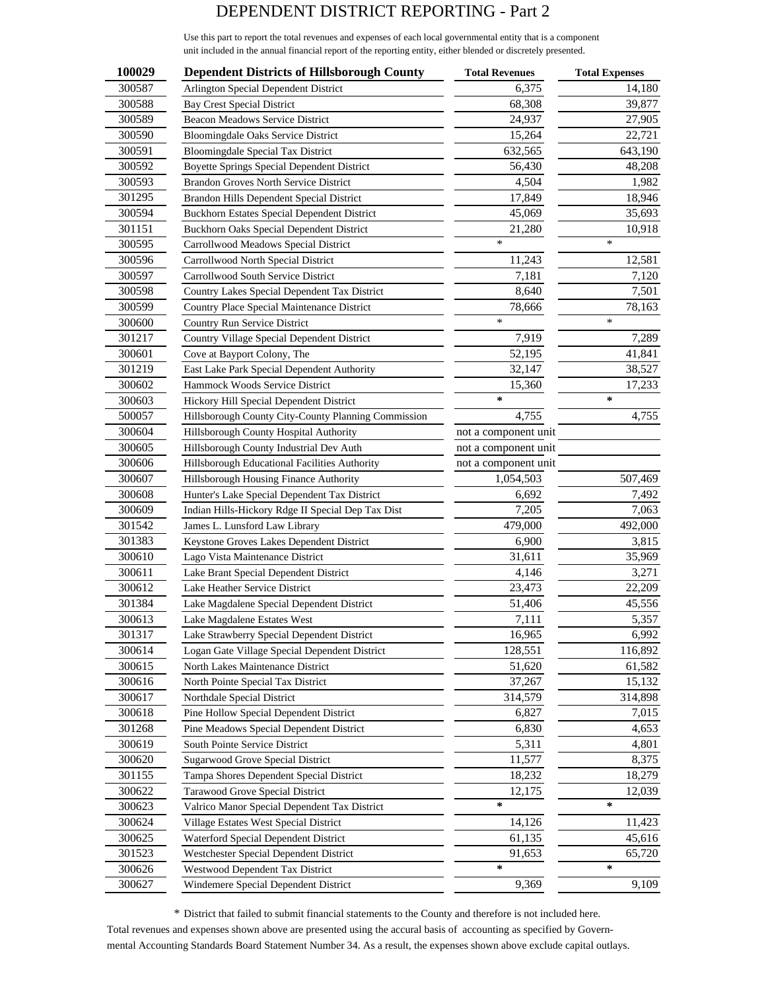## DEPENDENT DISTRICT REPORTING - Part 2

Use this part to report the total revenues and expenses of each local governmental entity that is a component unit included in the annual financial report of the reporting entity, either blended or discretely presented.

| 100029 | <b>Dependent Districts of Hillsborough County</b>   | <b>Total Revenues</b> | <b>Total Expenses</b> |
|--------|-----------------------------------------------------|-----------------------|-----------------------|
| 300587 | Arlington Special Dependent District                | 6,375                 | 14,180                |
| 300588 | <b>Bay Crest Special District</b>                   | 68,308                | 39,877                |
| 300589 | Beacon Meadows Service District                     | 24,937                | 27,905                |
| 300590 | <b>Bloomingdale Oaks Service District</b>           | 15,264                | 22,721                |
| 300591 | Bloomingdale Special Tax District                   | 632,565               | 643,190               |
| 300592 | Boyette Springs Special Dependent District          | 56,430                | 48,208                |
| 300593 | Brandon Groves North Service District               | 4,504                 | 1,982                 |
| 301295 | Brandon Hills Dependent Special District            | 17,849                | 18,946                |
| 300594 | Buckhorn Estates Special Dependent District         | 45,069                | 35,693                |
| 301151 | Buckhorn Oaks Special Dependent District            | 21,280                | 10,918                |
| 300595 | Carrollwood Meadows Special District                | $\ast$                | $\ast$                |
| 300596 | Carrollwood North Special District                  | 11,243                | 12,581                |
| 300597 | Carrollwood South Service District                  | 7,181                 | 7,120                 |
| 300598 | Country Lakes Special Dependent Tax District        | 8,640                 | 7,501                 |
| 300599 | Country Place Special Maintenance District          | 78,666                | 78,163                |
| 300600 | Country Run Service District                        | $\ast$                | $\ast$                |
| 301217 | Country Village Special Dependent District          | 7,919                 | 7,289                 |
| 300601 | Cove at Bayport Colony, The                         | 52,195                | 41,841                |
| 301219 | East Lake Park Special Dependent Authority          | 32,147                | 38,527                |
| 300602 | Hammock Woods Service District                      | 15,360                | 17,233                |
| 300603 | Hickory Hill Special Dependent District             | $\star$               | $\star$               |
| 500057 | Hillsborough County City-County Planning Commission | 4,755                 | 4,755                 |
| 300604 | Hillsborough County Hospital Authority              | not a component unit  |                       |
| 300605 | Hillsborough County Industrial Dev Auth             | not a component unit  |                       |
| 300606 | Hillsborough Educational Facilities Authority       | not a component unit  |                       |
| 300607 | Hillsborough Housing Finance Authority              | 1,054,503             | 507,469               |
| 300608 | Hunter's Lake Special Dependent Tax District        | 6,692                 | 7,492                 |
| 300609 | Indian Hills-Hickory Rdge II Special Dep Tax Dist   | 7,205                 | 7,063                 |
| 301542 | James L. Lunsford Law Library                       | 479,000               | 492,000               |
| 301383 | Keystone Groves Lakes Dependent District            | 6,900                 | 3,815                 |
| 300610 | Lago Vista Maintenance District                     | 31,611                | 35,969                |
| 300611 | Lake Brant Special Dependent District               | 4,146                 | 3,271                 |
| 300612 | Lake Heather Service District                       | 23,473                | 22,209                |
| 301384 | Lake Magdalene Special Dependent District           | 51,406                | 45,556                |
| 300613 | Lake Magdalene Estates West                         | 7,111                 | 5,357                 |
| 301317 | Lake Strawberry Special Dependent District          | 16,965                | 6,992                 |
| 300614 | Logan Gate Village Special Dependent District       | 128,551               | 116,892               |
| 300615 | North Lakes Maintenance District                    | 51,620                | 61,582                |
| 300616 | North Pointe Special Tax District                   | 37,267                | 15,132                |
| 300617 | Northdale Special District                          | 314,579               | 314,898               |
| 300618 | Pine Hollow Special Dependent District              | 6,827                 | 7,015                 |
| 301268 | Pine Meadows Special Dependent District             | 6,830                 | 4,653                 |
| 300619 | South Pointe Service District                       | 5,311                 | 4,801                 |
| 300620 | <b>Sugarwood Grove Special District</b>             | 11,577                | 8,375                 |
| 301155 | Tampa Shores Dependent Special District             | 18,232                | 18,279                |
| 300622 | Tarawood Grove Special District                     | 12,175                | 12,039                |
| 300623 | Valrico Manor Special Dependent Tax District        | $\star$               | $\star$               |
| 300624 | Village Estates West Special District               | 14,126                | 11,423                |
| 300625 | Waterford Special Dependent District                | 61,135                | 45,616                |
| 301523 | Westchester Special Dependent District              | 91,653                | 65,720                |
| 300626 | Westwood Dependent Tax District                     | $\star$               | $\approx$             |
|        |                                                     |                       |                       |
| 300627 | Windemere Special Dependent District                | 9,369                 | 9,109                 |

\* District that failed to submit financial statements to the County and therefore is not included here.

Total revenues and expenses shown above are presented using the accural basis of accounting as specified by Governmental Accounting Standards Board Statement Number 34. As a result, the expenses shown above exclude capital outlays.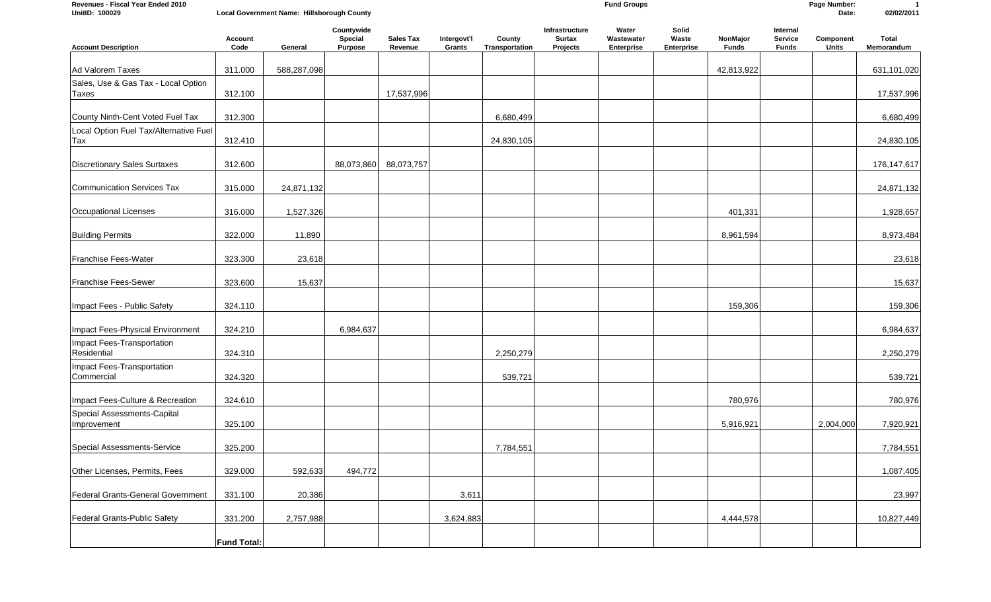| Revenues - Fiscal Year Ended 2010<br>UnitID: 100029 |                        | Local Government Name: Hillsborough County |                                         |                             |                       |                          | <b>Fund Groups</b>                          |                                   |                              |                          |                                            |                           | 02/02/2011                 |
|-----------------------------------------------------|------------------------|--------------------------------------------|-----------------------------------------|-----------------------------|-----------------------|--------------------------|---------------------------------------------|-----------------------------------|------------------------------|--------------------------|--------------------------------------------|---------------------------|----------------------------|
| <b>Account Description</b>                          | <b>Account</b><br>Code | General                                    | Countywide<br>Special<br><b>Purpose</b> | <b>Sales Tax</b><br>Revenue | Intergovt'l<br>Grants | County<br>Transportation | Infrastructure<br><b>Surtax</b><br>Projects | Water<br>Wastewater<br>Enterprise | Solid<br>Waste<br>Enterprise | NonMajor<br><b>Funds</b> | Internal<br><b>Service</b><br><b>Funds</b> | Component<br><b>Units</b> | <b>Total</b><br>Memorandum |
| Ad Valorem Taxes                                    | 311.000                | 588,287,098                                |                                         |                             |                       |                          |                                             |                                   |                              | 42,813,922               |                                            |                           | 631,101,020                |
| Sales, Use & Gas Tax - Local Option                 |                        |                                            |                                         |                             |                       |                          |                                             |                                   |                              |                          |                                            |                           |                            |
| Taxes                                               | 312.100                |                                            |                                         | 17,537,996                  |                       |                          |                                             |                                   |                              |                          |                                            |                           | 17,537,996                 |
| County Ninth-Cent Voted Fuel Tax                    | 312.300                |                                            |                                         |                             |                       | 6,680,499                |                                             |                                   |                              |                          |                                            |                           | 6,680,499                  |
| Local Option Fuel Tax/Alternative Fuel              |                        |                                            |                                         |                             |                       |                          |                                             |                                   |                              |                          |                                            |                           |                            |
| Tax                                                 | 312.410                |                                            |                                         |                             |                       | 24,830,105               |                                             |                                   |                              |                          |                                            |                           | 24,830,105                 |
| Discretionary Sales Surtaxes                        | 312.600                |                                            | 88,073,860                              | 88,073,757                  |                       |                          |                                             |                                   |                              |                          |                                            |                           | 176,147,617                |
| Communication Services Tax                          | 315.000                | 24,871,132                                 |                                         |                             |                       |                          |                                             |                                   |                              |                          |                                            |                           | 24,871,132                 |
| Occupational Licenses                               | 316.000                | 1,527,326                                  |                                         |                             |                       |                          |                                             |                                   |                              | 401,331                  |                                            |                           | 1,928,657                  |
| <b>Building Permits</b>                             | 322.000                | 11,890                                     |                                         |                             |                       |                          |                                             |                                   |                              | 8,961,594                |                                            |                           | 8,973,484                  |
| Franchise Fees-Water                                | 323.300                | 23,618                                     |                                         |                             |                       |                          |                                             |                                   |                              |                          |                                            |                           | 23,618                     |
| Franchise Fees-Sewer                                | 323.600                | 15,637                                     |                                         |                             |                       |                          |                                             |                                   |                              |                          |                                            |                           | 15,637                     |
| Impact Fees - Public Safety                         | 324.110                |                                            |                                         |                             |                       |                          |                                             |                                   |                              | 159,306                  |                                            |                           | 159,306                    |
|                                                     |                        |                                            |                                         |                             |                       |                          |                                             |                                   |                              |                          |                                            |                           |                            |
| Impact Fees-Physical Environment                    | 324.210                |                                            | 6,984,637                               |                             |                       |                          |                                             |                                   |                              |                          |                                            |                           | 6,984,637                  |
| Impact Fees-Transportation<br>Residential           | 324.310                |                                            |                                         |                             |                       | 2,250,279                |                                             |                                   |                              |                          |                                            |                           | 2,250,279                  |
| Impact Fees-Transportation<br>Commercial            | 324.320                |                                            |                                         |                             |                       | 539,721                  |                                             |                                   |                              |                          |                                            |                           | 539,721                    |
| Impact Fees-Culture & Recreation                    | 324.610                |                                            |                                         |                             |                       |                          |                                             |                                   |                              | 780,976                  |                                            |                           | 780,976                    |
| Special Assessments-Capital<br>Improvement          | 325.100                |                                            |                                         |                             |                       |                          |                                             |                                   |                              | 5,916,921                |                                            | 2,004,000                 | 7,920,921                  |
| Special Assessments-Service                         | 325.200                |                                            |                                         |                             |                       | 7,784,551                |                                             |                                   |                              |                          |                                            |                           | 7,784,551                  |
| Other Licenses, Permits, Fees                       | 329.000                | 592,633                                    | 494,772                                 |                             |                       |                          |                                             |                                   |                              |                          |                                            |                           | 1,087,405                  |
|                                                     |                        |                                            |                                         |                             |                       |                          |                                             |                                   |                              |                          |                                            |                           |                            |
| Federal Grants-General Government                   | 331.100                | 20,386                                     |                                         |                             | 3,611                 |                          |                                             |                                   |                              |                          |                                            |                           | 23,997                     |
| Federal Grants-Public Safety                        | 331.200                | 2,757,988                                  |                                         |                             | 3,624,883             |                          |                                             |                                   |                              | 4,444,578                |                                            |                           | 10,827,449                 |
|                                                     | <b>Fund Total:</b>     |                                            |                                         |                             |                       |                          |                                             |                                   |                              |                          |                                            |                           |                            |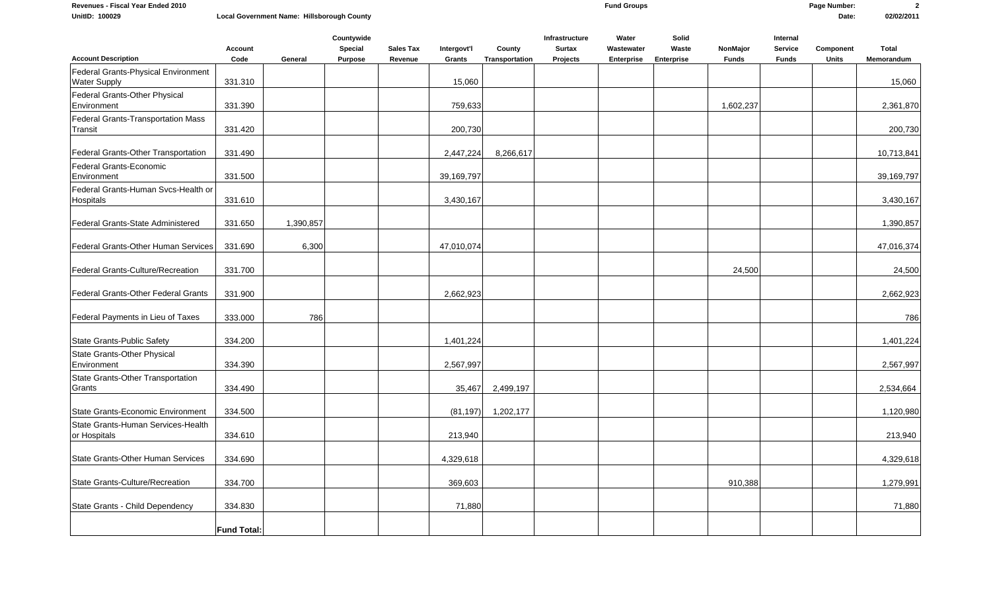| Revenues - Fiscal Year Ended 2010                          |                        |                                            |                                  |                             |                       |                          | <b>Fund Groups</b>                          |                                   |                                     |                          |                                     | Page Number:              | $\overline{2}$      |
|------------------------------------------------------------|------------------------|--------------------------------------------|----------------------------------|-----------------------------|-----------------------|--------------------------|---------------------------------------------|-----------------------------------|-------------------------------------|--------------------------|-------------------------------------|---------------------------|---------------------|
| UnitID: 100029                                             |                        | Local Government Name: Hillsborough County |                                  |                             |                       |                          |                                             |                                   |                                     |                          |                                     | Date:                     | 02/02/2011          |
| <b>Account Description</b>                                 | <b>Account</b><br>Code | General                                    | Countywide<br>Special<br>Purpose | <b>Sales Tax</b><br>Revenue | Intergovt'l<br>Grants | County<br>Transportation | Infrastructure<br><b>Surtax</b><br>Projects | Water<br>Wastewater<br>Enterprise | Solid<br>Waste<br><b>Enterprise</b> | NonMajor<br><b>Funds</b> | Internal<br>Service<br><b>Funds</b> | Component<br><b>Units</b> | Total<br>Memorandum |
|                                                            |                        |                                            |                                  |                             |                       |                          |                                             |                                   |                                     |                          |                                     |                           |                     |
| Federal Grants-Physical Environment<br><b>Water Supply</b> | 331.310                |                                            |                                  |                             | 15,060                |                          |                                             |                                   |                                     |                          |                                     |                           | 15,060              |
| Federal Grants-Other Physical<br>Environment               | 331.390                |                                            |                                  |                             | 759,633               |                          |                                             |                                   |                                     | 1,602,237                |                                     |                           | 2,361,870           |
| Federal Grants-Transportation Mass<br>Transit              | 331.420                |                                            |                                  |                             | 200,730               |                          |                                             |                                   |                                     |                          |                                     |                           | 200,730             |
| Federal Grants-Other Transportation                        | 331.490                |                                            |                                  |                             | 2,447,224             | 8,266,617                |                                             |                                   |                                     |                          |                                     |                           | 10,713,841          |
| Federal Grants-Economic<br>Environment                     | 331.500                |                                            |                                  |                             | 39,169,797            |                          |                                             |                                   |                                     |                          |                                     |                           | 39,169,797          |
| Federal Grants-Human Svcs-Health or<br>Hospitals           | 331.610                |                                            |                                  |                             | 3,430,167             |                          |                                             |                                   |                                     |                          |                                     |                           | 3,430,167           |
| Federal Grants-State Administered                          | 331.650                | 1,390,857                                  |                                  |                             |                       |                          |                                             |                                   |                                     |                          |                                     |                           | 1,390,857           |
| Federal Grants-Other Human Services                        | 331.690                | 6,300                                      |                                  |                             | 47,010,074            |                          |                                             |                                   |                                     |                          |                                     |                           | 47,016,374          |
| Federal Grants-Culture/Recreation                          | 331.700                |                                            |                                  |                             |                       |                          |                                             |                                   |                                     | 24,500                   |                                     |                           | 24,500              |
| Federal Grants-Other Federal Grants                        | 331.900                |                                            |                                  |                             | 2,662,923             |                          |                                             |                                   |                                     |                          |                                     |                           | 2,662,923           |
| Federal Payments in Lieu of Taxes                          | 333.000                | 786                                        |                                  |                             |                       |                          |                                             |                                   |                                     |                          |                                     |                           | 786                 |
| State Grants-Public Safety                                 | 334.200                |                                            |                                  |                             | 1,401,224             |                          |                                             |                                   |                                     |                          |                                     |                           | 1,401,224           |
| State Grants-Other Physical<br>Environment                 | 334.390                |                                            |                                  |                             | 2,567,997             |                          |                                             |                                   |                                     |                          |                                     |                           | 2,567,997           |
| State Grants-Other Transportation<br>Grants                | 334.490                |                                            |                                  |                             | 35,467                | 2,499,197                |                                             |                                   |                                     |                          |                                     |                           | 2,534,664           |
| State Grants-Economic Environment                          | 334.500                |                                            |                                  |                             | (81, 197)             | 1,202,177                |                                             |                                   |                                     |                          |                                     |                           | 1,120,980           |
| State Grants-Human Services-Health<br>or Hospitals         | 334.610                |                                            |                                  |                             | 213,940               |                          |                                             |                                   |                                     |                          |                                     |                           | 213,940             |
| State Grants-Other Human Services                          | 334.690                |                                            |                                  |                             | 4,329,618             |                          |                                             |                                   |                                     |                          |                                     |                           | 4,329,618           |
| State Grants-Culture/Recreation                            | 334.700                |                                            |                                  |                             | 369,603               |                          |                                             |                                   |                                     | 910,388                  |                                     |                           | 1,279,991           |
| State Grants - Child Dependency                            | 334.830                |                                            |                                  |                             | 71,880                |                          |                                             |                                   |                                     |                          |                                     |                           | 71,880              |
|                                                            | <b>Fund Total:</b>     |                                            |                                  |                             |                       |                          |                                             |                                   |                                     |                          |                                     |                           |                     |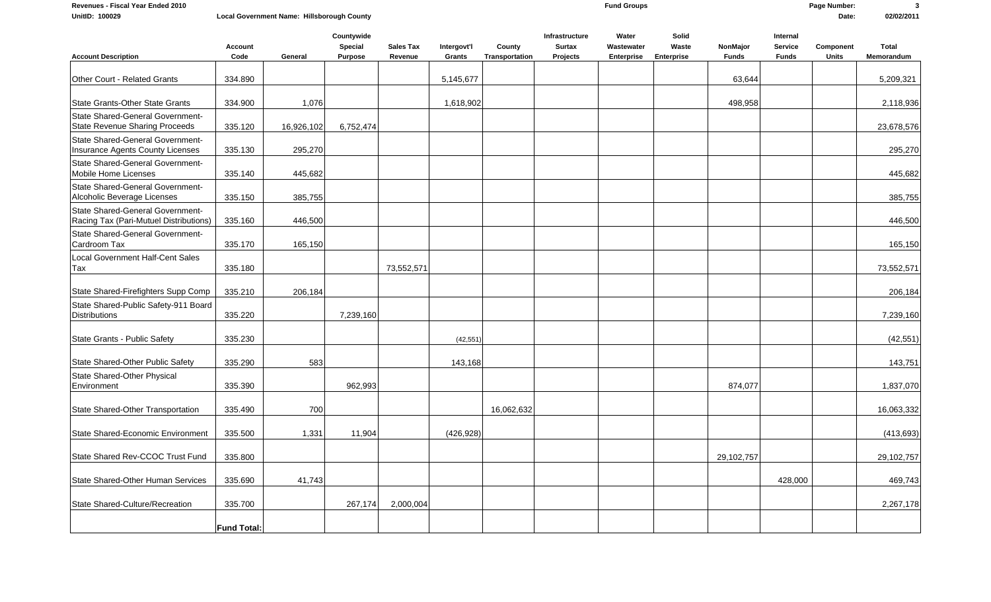| Revenues - Fiscal Year Ended 2010<br>UnitID: 100029                        |                    | Local Government Name: Hillsborough County |                                         |                             |                       |                          |                                             | <b>Fund Groups</b>                       |                                     | Page Number:<br>Date:    | 3<br>02/02/2011                            |                           |                            |
|----------------------------------------------------------------------------|--------------------|--------------------------------------------|-----------------------------------------|-----------------------------|-----------------------|--------------------------|---------------------------------------------|------------------------------------------|-------------------------------------|--------------------------|--------------------------------------------|---------------------------|----------------------------|
| <b>Account Description</b>                                                 | Account<br>Code    | General                                    | Countywide<br>Special<br><b>Purpose</b> | <b>Sales Tax</b><br>Revenue | Intergovt'l<br>Grants | County<br>Transportation | Infrastructure<br><b>Surtax</b><br>Projects | Water<br>Wastewater<br><b>Enterprise</b> | Solid<br>Waste<br><b>Enterprise</b> | NonMajor<br><b>Funds</b> | Internal<br><b>Service</b><br><b>Funds</b> | Component<br><b>Units</b> | <b>Total</b><br>Memorandum |
| <b>Other Court - Related Grants</b>                                        | 334.890            |                                            |                                         |                             | 5,145,677             |                          |                                             |                                          |                                     | 63,644                   |                                            |                           | 5,209,321                  |
| State Grants-Other State Grants                                            | 334.900            | 1,076                                      |                                         |                             | 1,618,902             |                          |                                             |                                          |                                     | 498,958                  |                                            |                           | 2,118,936                  |
| State Shared-General Government-<br>State Revenue Sharing Proceeds         | 335.120            | 16,926,102                                 | 6,752,474                               |                             |                       |                          |                                             |                                          |                                     |                          |                                            |                           | 23,678,576                 |
| State Shared-General Government-<br>Insurance Agents County Licenses       | 335.130            | 295,270                                    |                                         |                             |                       |                          |                                             |                                          |                                     |                          |                                            |                           | 295,270                    |
| State Shared-General Government-<br><b>Mobile Home Licenses</b>            | 335.140            | 445,682                                    |                                         |                             |                       |                          |                                             |                                          |                                     |                          |                                            |                           | 445,682                    |
| State Shared-General Government-<br>Alcoholic Beverage Licenses            | 335.150            | 385,755                                    |                                         |                             |                       |                          |                                             |                                          |                                     |                          |                                            |                           | 385,755                    |
| State Shared-General Government-<br>Racing Tax (Pari-Mutuel Distributions) | 335.160            | 446,500                                    |                                         |                             |                       |                          |                                             |                                          |                                     |                          |                                            |                           | 446,500                    |
| State Shared-General Government-<br>Cardroom Tax                           | 335.170            | 165,150                                    |                                         |                             |                       |                          |                                             |                                          |                                     |                          |                                            |                           | 165,150                    |
| Local Government Half-Cent Sales<br>Tax                                    | 335.180            |                                            |                                         | 73,552,571                  |                       |                          |                                             |                                          |                                     |                          |                                            |                           | 73,552,571                 |
| State Shared-Firefighters Supp Comp                                        | 335.210            | 206,184                                    |                                         |                             |                       |                          |                                             |                                          |                                     |                          |                                            |                           | 206,184                    |
| State Shared-Public Safety-911 Board<br><b>Distributions</b>               | 335.220            |                                            | 7,239,160                               |                             |                       |                          |                                             |                                          |                                     |                          |                                            |                           | 7,239,160                  |
| State Grants - Public Safety                                               | 335.230            |                                            |                                         |                             | (42, 551)             |                          |                                             |                                          |                                     |                          |                                            |                           | (42, 551)                  |
| State Shared-Other Public Safety                                           | 335.290            | 583                                        |                                         |                             | 143,168               |                          |                                             |                                          |                                     |                          |                                            |                           | 143,751                    |
| State Shared-Other Physical<br>Environment                                 | 335.390            |                                            | 962,993                                 |                             |                       |                          |                                             |                                          |                                     | 874,077                  |                                            |                           | 1,837,070                  |
| State Shared-Other Transportation                                          | 335.490            | 700                                        |                                         |                             |                       | 16,062,632               |                                             |                                          |                                     |                          |                                            |                           | 16,063,332                 |
| State Shared-Economic Environment                                          | 335.500            | 1,331                                      | 11,904                                  |                             | (426, 928)            |                          |                                             |                                          |                                     |                          |                                            |                           | (413, 693)                 |
| State Shared Rev-CCOC Trust Fund                                           | 335.800            |                                            |                                         |                             |                       |                          |                                             |                                          |                                     | 29,102,757               |                                            |                           | 29,102,757                 |
| State Shared-Other Human Services                                          | 335.690            | 41,743                                     |                                         |                             |                       |                          |                                             |                                          |                                     |                          | 428,000                                    |                           | 469,743                    |
| State Shared-Culture/Recreation                                            | 335.700            |                                            | 267,174                                 | 2,000,004                   |                       |                          |                                             |                                          |                                     |                          |                                            |                           | 2,267,178                  |
|                                                                            | <b>Fund Total:</b> |                                            |                                         |                             |                       |                          |                                             |                                          |                                     |                          |                                            |                           |                            |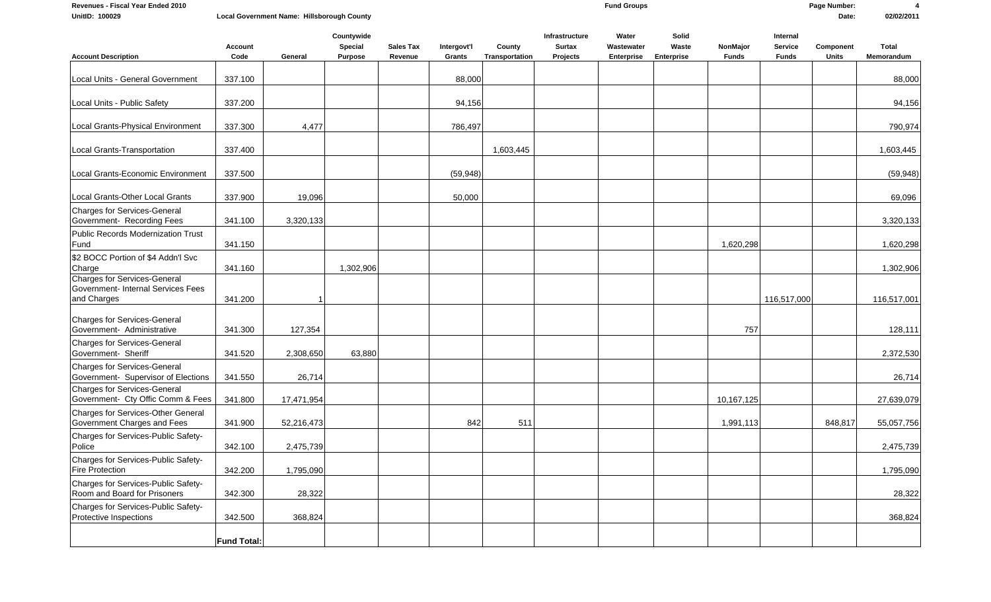| Revenues - Fiscal Year Ended 2010<br>UnitID: 100029                                      |                    | Local Government Name: Hillsborough County |                                         |                             |                       |                          |                                             | <b>Fund Groups</b>                       |                              | Page Number:<br>Date:    | 02/02/2011                                 |                           |                            |
|------------------------------------------------------------------------------------------|--------------------|--------------------------------------------|-----------------------------------------|-----------------------------|-----------------------|--------------------------|---------------------------------------------|------------------------------------------|------------------------------|--------------------------|--------------------------------------------|---------------------------|----------------------------|
| <b>Account Description</b>                                                               | Account<br>Code    | General                                    | Countywide<br>Special<br><b>Purpose</b> | <b>Sales Tax</b><br>Revenue | Intergovt'l<br>Grants | County<br>Transportation | Infrastructure<br><b>Surtax</b><br>Projects | Water<br>Wastewater<br><b>Enterprise</b> | Solid<br>Waste<br>Enterprise | NonMajor<br><b>Funds</b> | Internal<br><b>Service</b><br><b>Funds</b> | Component<br><b>Units</b> | <b>Total</b><br>Memorandum |
| Local Units - General Government                                                         | 337.100            |                                            |                                         |                             | 88,000                |                          |                                             |                                          |                              |                          |                                            |                           | 88,000                     |
| Local Units - Public Safety                                                              | 337.200            |                                            |                                         |                             | 94,156                |                          |                                             |                                          |                              |                          |                                            |                           | 94,156                     |
| Local Grants-Physical Environment                                                        | 337.300            | 4,477                                      |                                         |                             | 786,497               |                          |                                             |                                          |                              |                          |                                            |                           | 790,974                    |
| Local Grants-Transportation                                                              | 337.400            |                                            |                                         |                             |                       | 1,603,445                |                                             |                                          |                              |                          |                                            |                           | 1,603,445                  |
| Local Grants-Economic Environment                                                        | 337.500            |                                            |                                         |                             | (59, 948)             |                          |                                             |                                          |                              |                          |                                            |                           | (59, 948)                  |
| Local Grants-Other Local Grants                                                          | 337.900            | 19,096                                     |                                         |                             | 50,000                |                          |                                             |                                          |                              |                          |                                            |                           | 69,096                     |
| Charges for Services-General<br>Government- Recording Fees                               | 341.100            | 3,320,133                                  |                                         |                             |                       |                          |                                             |                                          |                              |                          |                                            |                           | 3,320,133                  |
| Public Records Modernization Trust<br>Fund                                               | 341.150            |                                            |                                         |                             |                       |                          |                                             |                                          |                              | 1,620,298                |                                            |                           | 1,620,298                  |
| \$2 BOCC Portion of \$4 Addn'l Svc<br>Charge                                             | 341.160            |                                            | 1,302,906                               |                             |                       |                          |                                             |                                          |                              |                          |                                            |                           | 1,302,906                  |
| <b>Charges for Services-General</b><br>Government- Internal Services Fees<br>and Charges | 341.200            |                                            |                                         |                             |                       |                          |                                             |                                          |                              |                          | 116,517,000                                |                           | 116,517,001                |
| Charges for Services-General<br>Government- Administrative                               | 341.300            | 127,354                                    |                                         |                             |                       |                          |                                             |                                          |                              | 757                      |                                            |                           | 128,111                    |
| Charges for Services-General<br>Government- Sheriff                                      | 341.520            | 2,308,650                                  | 63,880                                  |                             |                       |                          |                                             |                                          |                              |                          |                                            |                           | 2,372,530                  |
| Charges for Services-General<br>Government- Supervisor of Elections                      | 341.550            | 26,714                                     |                                         |                             |                       |                          |                                             |                                          |                              |                          |                                            |                           | 26,714                     |
| Charges for Services-General<br>Government- Cty Offic Comm & Fees                        | 341.800            | 17,471,954                                 |                                         |                             |                       |                          |                                             |                                          |                              | 10,167,125               |                                            |                           | 27,639,079                 |
| Charges for Services-Other General<br>Government Charges and Fees                        | 341.900            | 52,216,473                                 |                                         |                             | 842                   | 511                      |                                             |                                          |                              | 1,991,113                |                                            | 848,817                   | 55,057,756                 |
| Charges for Services-Public Safety-<br>Police                                            | 342.100            | 2,475,739                                  |                                         |                             |                       |                          |                                             |                                          |                              |                          |                                            |                           | 2,475,739                  |
| Charges for Services-Public Safety-<br><b>Fire Protection</b>                            | 342.200            | 1,795,090                                  |                                         |                             |                       |                          |                                             |                                          |                              |                          |                                            |                           | 1,795,090                  |
| Charges for Services-Public Safety-<br>Room and Board for Prisoners                      | 342.300            | 28,322                                     |                                         |                             |                       |                          |                                             |                                          |                              |                          |                                            |                           | 28,322                     |
| Charges for Services-Public Safety-<br>Protective Inspections                            | 342.500            | 368,824                                    |                                         |                             |                       |                          |                                             |                                          |                              |                          |                                            |                           | 368,824                    |
|                                                                                          | <b>Fund Total:</b> |                                            |                                         |                             |                       |                          |                                             |                                          |                              |                          |                                            |                           |                            |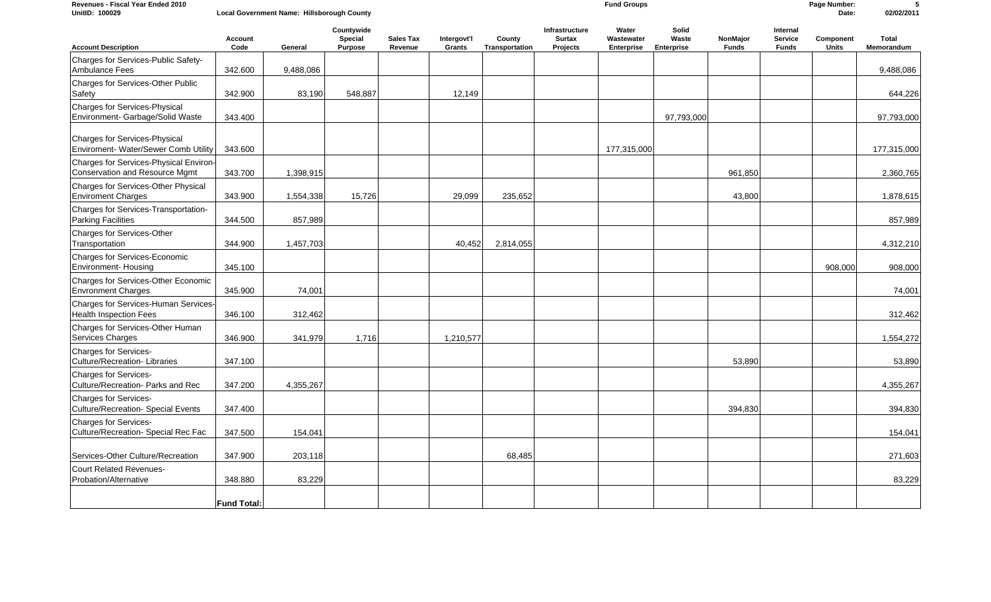| Revenues - Fiscal Year Ended 2010<br>UnitID: 100029                      | <b>Fund Groups</b><br>Local Government Name: Hillsborough County |           |                                         |                             |                       |                          |                                             |                                          |                                     |                          |                                            | Page Number:<br>Date:     | 02/02/2011                 |
|--------------------------------------------------------------------------|------------------------------------------------------------------|-----------|-----------------------------------------|-----------------------------|-----------------------|--------------------------|---------------------------------------------|------------------------------------------|-------------------------------------|--------------------------|--------------------------------------------|---------------------------|----------------------------|
| <b>Account Description</b>                                               | Account<br>Code                                                  | General   | Countywide<br>Special<br><b>Purpose</b> | <b>Sales Tax</b><br>Revenue | Intergovt'l<br>Grants | County<br>Transportation | Infrastructure<br><b>Surtax</b><br>Projects | Water<br>Wastewater<br><b>Enterprise</b> | Solid<br>Waste<br><b>Enterprise</b> | NonMajor<br><b>Funds</b> | Internal<br><b>Service</b><br><b>Funds</b> | Component<br><b>Units</b> | <b>Total</b><br>Memorandum |
| Charges for Services-Public Safety-<br><b>Ambulance Fees</b>             | 342.600                                                          | 9,488,086 |                                         |                             |                       |                          |                                             |                                          |                                     |                          |                                            |                           | 9,488,086                  |
| Charges for Services-Other Public<br>Safety                              | 342.900                                                          | 83,190    | 548,887                                 |                             | 12,149                |                          |                                             |                                          |                                     |                          |                                            |                           | 644,226                    |
| Charges for Services-Physical<br>Environment- Garbage/Solid Waste        | 343.400                                                          |           |                                         |                             |                       |                          |                                             |                                          | 97,793,000                          |                          |                                            |                           | 97,793,000                 |
| Charges for Services-Physical<br>Enviroment- Water/Sewer Comb Utility    | 343.600                                                          |           |                                         |                             |                       |                          |                                             | 177,315,000                              |                                     |                          |                                            |                           | 177,315,000                |
| Charges for Services-Physical Environ-<br>Conservation and Resource Mgmt | 343.700                                                          | 1,398,915 |                                         |                             |                       |                          |                                             |                                          |                                     | 961,850                  |                                            |                           | 2,360,765                  |
| Charges for Services-Other Physical<br><b>Enviroment Charges</b>         | 343.900                                                          | 1,554,338 | 15,726                                  |                             | 29,099                | 235,652                  |                                             |                                          |                                     | 43,800                   |                                            |                           | 1,878,615                  |
| Charges for Services-Transportation-<br>Parking Facilities               | 344.500                                                          | 857,989   |                                         |                             |                       |                          |                                             |                                          |                                     |                          |                                            |                           | 857,989                    |
| Charges for Services-Other<br>Transportation                             | 344.900                                                          | 1,457,703 |                                         |                             | 40,452                | 2,814,055                |                                             |                                          |                                     |                          |                                            |                           | 4,312,210                  |
| Charges for Services-Economic<br><b>Environment- Housing</b>             | 345.100                                                          |           |                                         |                             |                       |                          |                                             |                                          |                                     |                          |                                            | 908,000                   | 908,000                    |
| Charges for Services-Other Economic<br><b>Envronment Charges</b>         | 345.900                                                          | 74,001    |                                         |                             |                       |                          |                                             |                                          |                                     |                          |                                            |                           | 74,001                     |
| Charges for Services-Human Services-<br><b>Health Inspection Fees</b>    | 346.100                                                          | 312,462   |                                         |                             |                       |                          |                                             |                                          |                                     |                          |                                            |                           | 312,462                    |
| Charges for Services-Other Human<br>Services Charges                     | 346.900                                                          | 341,979   | 1,716                                   |                             | 1,210,577             |                          |                                             |                                          |                                     |                          |                                            |                           | 1,554,272                  |
| Charges for Services-<br>Culture/Recreation-Libraries                    | 347.100                                                          |           |                                         |                             |                       |                          |                                             |                                          |                                     | 53,890                   |                                            |                           | 53,890                     |
| Charges for Services-<br>Culture/Recreation- Parks and Rec               | 347.200                                                          | 4,355,267 |                                         |                             |                       |                          |                                             |                                          |                                     |                          |                                            |                           | 4,355,267                  |
| Charges for Services-<br>Culture/Recreation- Special Events              | 347.400                                                          |           |                                         |                             |                       |                          |                                             |                                          |                                     | 394,830                  |                                            |                           | 394,830                    |
| Charges for Services-<br>Culture/Recreation- Special Rec Fac             | 347.500                                                          | 154,041   |                                         |                             |                       |                          |                                             |                                          |                                     |                          |                                            |                           | 154,041                    |
| Services-Other Culture/Recreation                                        | 347.900                                                          | 203,118   |                                         |                             |                       | 68,485                   |                                             |                                          |                                     |                          |                                            |                           | 271,603                    |
| Court Related Revenues-<br>Probation/Alternative                         | 348.880                                                          | 83,229    |                                         |                             |                       |                          |                                             |                                          |                                     |                          |                                            |                           | 83,229                     |
|                                                                          | <b>Fund Total:</b>                                               |           |                                         |                             |                       |                          |                                             |                                          |                                     |                          |                                            |                           |                            |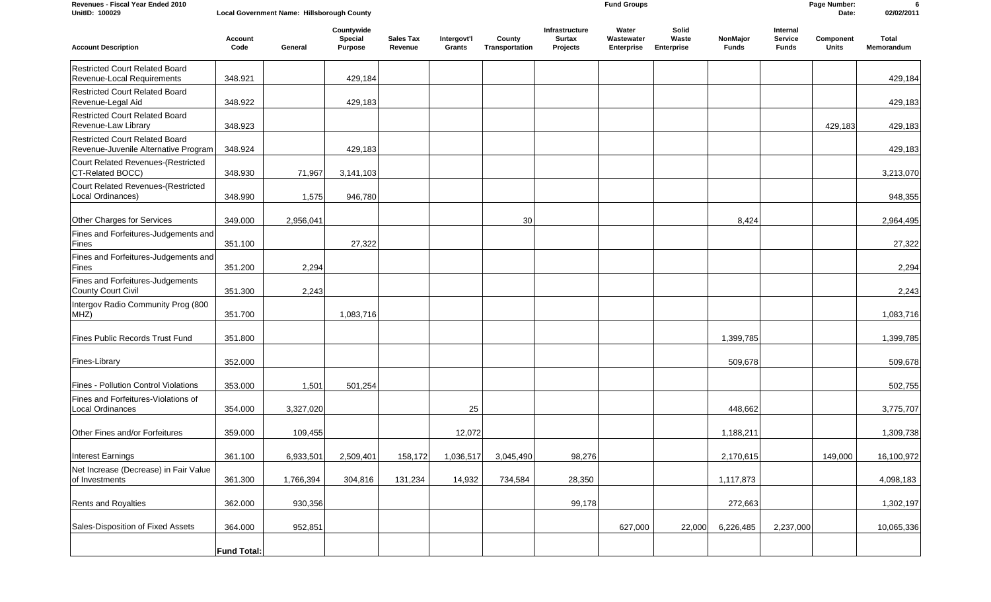| Revenues - Fiscal Year Ended 2010<br>UnitID: 100029                           | <b>Fund Groups</b><br>Page Number:<br>Local Government Name: Hillsborough County<br>Date: |           |                                         |                      |                       |                          |                                             |                                   |                                     |                          |                                            |                           | 6<br>02/02/2011            |
|-------------------------------------------------------------------------------|-------------------------------------------------------------------------------------------|-----------|-----------------------------------------|----------------------|-----------------------|--------------------------|---------------------------------------------|-----------------------------------|-------------------------------------|--------------------------|--------------------------------------------|---------------------------|----------------------------|
| <b>Account Description</b>                                                    | <b>Account</b><br>Code                                                                    | General   | Countywide<br>Special<br><b>Purpose</b> | Sales Tax<br>Revenue | Intergovt'l<br>Grants | County<br>Transportation | Infrastructure<br><b>Surtax</b><br>Projects | Water<br>Wastewater<br>Enterprise | Solid<br>Waste<br><b>Enterprise</b> | NonMajor<br><b>Funds</b> | Internal<br><b>Service</b><br><b>Funds</b> | Component<br><b>Units</b> | <b>Total</b><br>Memorandum |
| <b>Restricted Court Related Board</b><br>Revenue-Local Requirements           | 348.921                                                                                   |           | 429,184                                 |                      |                       |                          |                                             |                                   |                                     |                          |                                            |                           | 429,184                    |
| <b>Restricted Court Related Board</b><br>Revenue-Legal Aid                    | 348.922                                                                                   |           | 429,183                                 |                      |                       |                          |                                             |                                   |                                     |                          |                                            |                           | 429,183                    |
| <b>Restricted Court Related Board</b><br>Revenue-Law Library                  | 348.923                                                                                   |           |                                         |                      |                       |                          |                                             |                                   |                                     |                          |                                            | 429,183                   | 429,183                    |
| <b>Restricted Court Related Board</b><br>Revenue-Juvenile Alternative Program | 348.924                                                                                   |           | 429,183                                 |                      |                       |                          |                                             |                                   |                                     |                          |                                            |                           | 429,183                    |
| Court Related Revenues-(Restricted<br>CT-Related BOCC)                        | 348.930                                                                                   | 71,967    | 3,141,103                               |                      |                       |                          |                                             |                                   |                                     |                          |                                            |                           | 3,213,070                  |
| Court Related Revenues-(Restricted<br>Local Ordinances)                       | 348.990                                                                                   | 1,575     | 946,780                                 |                      |                       |                          |                                             |                                   |                                     |                          |                                            |                           | 948,355                    |
| Other Charges for Services                                                    | 349.000                                                                                   | 2,956,041 |                                         |                      |                       | 30                       |                                             |                                   |                                     | 8,424                    |                                            |                           | 2,964,495                  |
| Fines and Forfeitures-Judgements and<br>Fines                                 | 351.100                                                                                   |           | 27,322                                  |                      |                       |                          |                                             |                                   |                                     |                          |                                            |                           | 27,322                     |
| Fines and Forfeitures-Judgements and<br>Fines                                 | 351.200                                                                                   | 2,294     |                                         |                      |                       |                          |                                             |                                   |                                     |                          |                                            |                           | 2,294                      |
| Fines and Forfeitures-Judgements<br><b>County Court Civil</b>                 | 351.300                                                                                   | 2,243     |                                         |                      |                       |                          |                                             |                                   |                                     |                          |                                            |                           | 2,243                      |
| Intergov Radio Community Prog (800<br>MHZ)                                    | 351.700                                                                                   |           | 1,083,716                               |                      |                       |                          |                                             |                                   |                                     |                          |                                            |                           | 1,083,716                  |
| Fines Public Records Trust Fund                                               | 351.800                                                                                   |           |                                         |                      |                       |                          |                                             |                                   |                                     | 1,399,785                |                                            |                           | 1,399,785                  |
| Fines-Library                                                                 | 352.000                                                                                   |           |                                         |                      |                       |                          |                                             |                                   |                                     | 509,678                  |                                            |                           | 509,678                    |
| <b>Fines - Pollution Control Violations</b>                                   | 353.000                                                                                   | 1,501     | 501,254                                 |                      |                       |                          |                                             |                                   |                                     |                          |                                            |                           | 502,755                    |
| Fines and Forfeitures-Violations of<br>Local Ordinances                       | 354.000                                                                                   | 3,327,020 |                                         |                      | 25                    |                          |                                             |                                   |                                     | 448,662                  |                                            |                           | 3,775,707                  |
| Other Fines and/or Forfeitures                                                | 359.000                                                                                   | 109,455   |                                         |                      | 12,072                |                          |                                             |                                   |                                     | 1,188,211                |                                            |                           | 1,309,738                  |
| <b>Interest Earnings</b>                                                      | 361.100                                                                                   | 6,933,501 | 2,509,401                               | 158,172              | 1,036,517             | 3,045,490                | 98,276                                      |                                   |                                     | 2,170,615                |                                            | 149,000                   | 16,100,972                 |
| Net Increase (Decrease) in Fair Value<br>of Investments                       | 361.300                                                                                   | 1,766,394 | 304,816                                 | 131,234              | 14,932                | 734,584                  | 28,350                                      |                                   |                                     | 1,117,873                |                                            |                           | 4,098,183                  |
| <b>Rents and Royalties</b>                                                    | 362.000                                                                                   | 930,356   |                                         |                      |                       |                          | 99,178                                      |                                   |                                     | 272,663                  |                                            |                           | 1,302,197                  |
| Sales-Disposition of Fixed Assets                                             | 364.000                                                                                   | 952,851   |                                         |                      |                       |                          |                                             | 627,000                           | 22,000                              | 6,226,485                | 2,237,000                                  |                           | 10,065,336                 |
|                                                                               | <b>Fund Total:</b>                                                                        |           |                                         |                      |                       |                          |                                             |                                   |                                     |                          |                                            |                           |                            |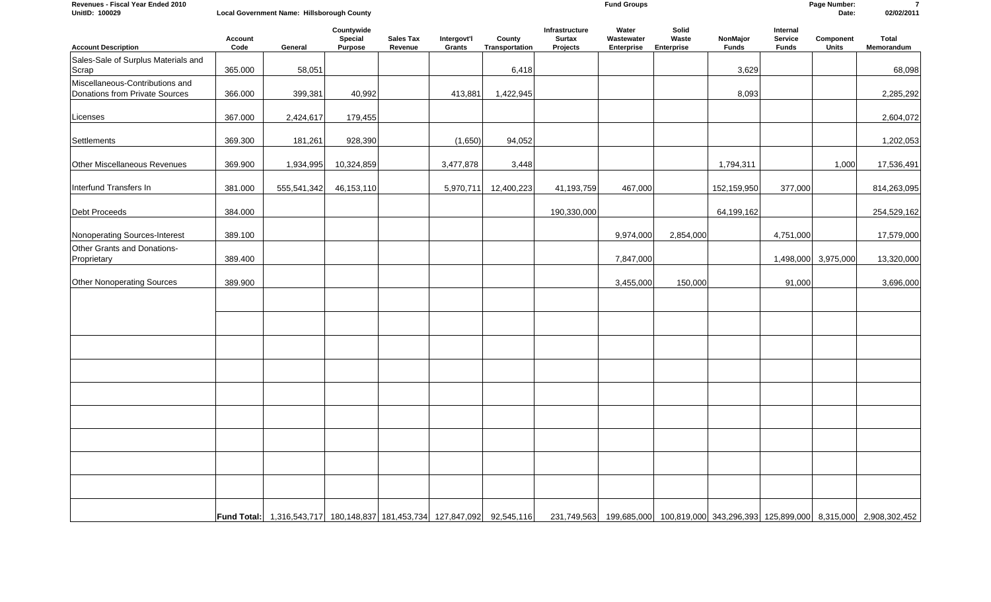| Revenues - Fiscal Year Ended 2010<br>UnitID: 100029 |                 | Local Government Name: Hillsborough County |                                         |                             |                       |                          | <b>Fund Groups</b>                   |                                   |                                     |                          |                                     | Page Number:<br>Date:     | $\overline{7}$<br>02/02/2011                                                                                                                                 |
|-----------------------------------------------------|-----------------|--------------------------------------------|-----------------------------------------|-----------------------------|-----------------------|--------------------------|--------------------------------------|-----------------------------------|-------------------------------------|--------------------------|-------------------------------------|---------------------------|--------------------------------------------------------------------------------------------------------------------------------------------------------------|
| <b>Account Description</b>                          | Account<br>Code | General                                    | Countywide<br>Special<br><b>Purpose</b> | <b>Sales Tax</b><br>Revenue | Intergovt'l<br>Grants | County<br>Transportation | Infrastructure<br>Surtax<br>Projects | Water<br>Wastewater<br>Enterprise | Solid<br>Waste<br><b>Enterprise</b> | NonMajor<br><b>Funds</b> | Internal<br>Service<br><b>Funds</b> | Component<br><b>Units</b> | Total<br>Memorandum                                                                                                                                          |
| Sales-Sale of Surplus Materials and                 |                 |                                            |                                         |                             |                       |                          |                                      |                                   |                                     |                          |                                     |                           |                                                                                                                                                              |
| Scrap                                               | 365.000         | 58,051                                     |                                         |                             |                       | 6,418                    |                                      |                                   |                                     | 3,629                    |                                     |                           | 68,098                                                                                                                                                       |
| Miscellaneous-Contributions and                     |                 |                                            |                                         |                             |                       |                          |                                      |                                   |                                     |                          |                                     |                           |                                                                                                                                                              |
| Donations from Private Sources                      | 366.000         | 399,381                                    | 40,992                                  |                             | 413,881               | 1,422,945                |                                      |                                   |                                     | 8,093                    |                                     |                           | 2,285,292                                                                                                                                                    |
| Licenses                                            | 367.000         | 2,424,617                                  | 179,455                                 |                             |                       |                          |                                      |                                   |                                     |                          |                                     |                           | 2,604,072                                                                                                                                                    |
| Settlements                                         | 369.300         | 181,261                                    | 928,390                                 |                             | (1,650)               | 94,052                   |                                      |                                   |                                     |                          |                                     |                           | 1,202,053                                                                                                                                                    |
| Other Miscellaneous Revenues                        | 369.900         | 1,934,995                                  | 10,324,859                              |                             | 3,477,878             | 3,448                    |                                      |                                   |                                     | 1,794,311                |                                     | 1,000                     | 17,536,491                                                                                                                                                   |
| Interfund Transfers In                              | 381.000         | 555,541,342                                | 46, 153, 110                            |                             | 5,970,711             | 12,400,223               | 41,193,759                           | 467,000                           |                                     | 152,159,950              | 377,000                             |                           | 814,263,095                                                                                                                                                  |
| Debt Proceeds                                       | 384.000         |                                            |                                         |                             |                       |                          | 190,330,000                          |                                   |                                     | 64,199,162               |                                     |                           | 254,529,162                                                                                                                                                  |
| Nonoperating Sources-Interest                       | 389.100         |                                            |                                         |                             |                       |                          |                                      | 9,974,000                         | 2,854,000                           |                          | 4,751,000                           |                           | 17,579,000                                                                                                                                                   |
| Other Grants and Donations-<br>Proprietary          | 389.400         |                                            |                                         |                             |                       |                          |                                      | 7,847,000                         |                                     |                          |                                     | 1,498,000 3,975,000       | 13,320,000                                                                                                                                                   |
| <b>Other Nonoperating Sources</b>                   | 389.900         |                                            |                                         |                             |                       |                          |                                      | 3,455,000                         | 150,000                             |                          | 91,000                              |                           | 3,696,000                                                                                                                                                    |
|                                                     |                 |                                            |                                         |                             |                       |                          |                                      |                                   |                                     |                          |                                     |                           |                                                                                                                                                              |
|                                                     |                 |                                            |                                         |                             |                       |                          |                                      |                                   |                                     |                          |                                     |                           |                                                                                                                                                              |
|                                                     |                 |                                            |                                         |                             |                       |                          |                                      |                                   |                                     |                          |                                     |                           |                                                                                                                                                              |
|                                                     |                 |                                            |                                         |                             |                       |                          |                                      |                                   |                                     |                          |                                     |                           |                                                                                                                                                              |
|                                                     |                 |                                            |                                         |                             |                       |                          |                                      |                                   |                                     |                          |                                     |                           |                                                                                                                                                              |
|                                                     |                 |                                            |                                         |                             |                       |                          |                                      |                                   |                                     |                          |                                     |                           |                                                                                                                                                              |
|                                                     |                 |                                            |                                         |                             |                       |                          |                                      |                                   |                                     |                          |                                     |                           |                                                                                                                                                              |
|                                                     |                 |                                            |                                         |                             |                       |                          |                                      |                                   |                                     |                          |                                     |                           |                                                                                                                                                              |
|                                                     |                 |                                            |                                         |                             |                       |                          |                                      |                                   |                                     |                          |                                     |                           |                                                                                                                                                              |
|                                                     |                 |                                            |                                         |                             |                       |                          |                                      |                                   |                                     |                          |                                     |                           | Fund Total: 1,316,543,717 180,148,837 181,453,734 127,847,092 92,545,116 231,749,563 199,685,000 100,819,000 343,296,393 125,899,000 8,315,000 2,908,302,452 |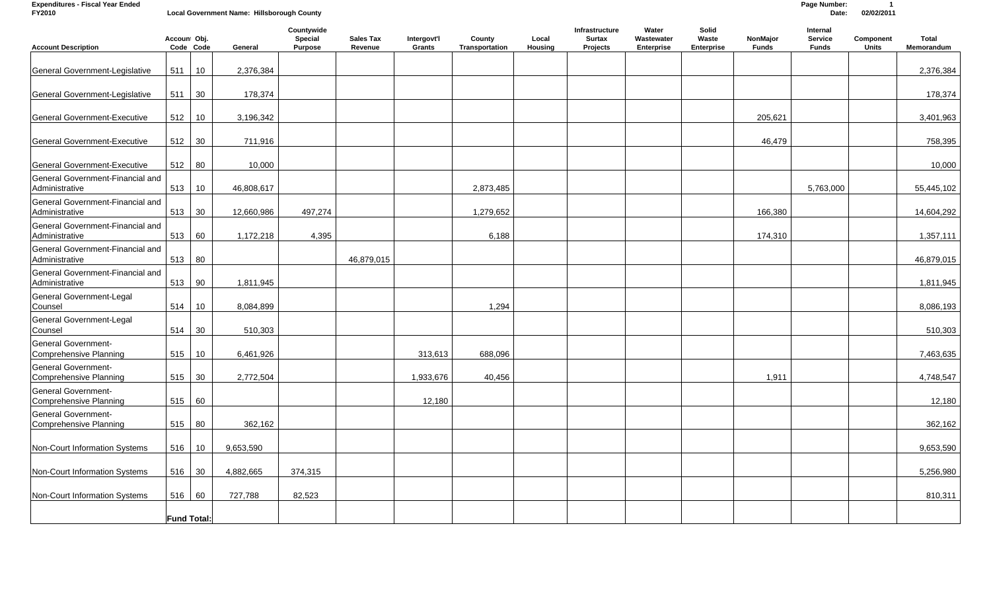**Local Government Name: Hillsborough County** 

| <b>Account Description</b>                           | Accoun Obj.        | Code Code | General    | Countywide<br>Special<br>Purpose | <b>Sales Tax</b><br>Revenue | Intergovt'l<br>Grants | County<br>Transportation | Local<br><b>Housing</b> | Infrastructure<br><b>Surtax</b><br>Projects | Water<br>Wastewater<br>Enterprise | Solid<br>Waste<br><b>Enterprise</b> | NonMajor<br><b>Funds</b> | Internal<br><b>Service</b><br><b>Funds</b> | Component<br><b>Units</b> | <b>Total</b><br>Memorandum |
|------------------------------------------------------|--------------------|-----------|------------|----------------------------------|-----------------------------|-----------------------|--------------------------|-------------------------|---------------------------------------------|-----------------------------------|-------------------------------------|--------------------------|--------------------------------------------|---------------------------|----------------------------|
| General Government-Legislative                       | 511                | 10        | 2,376,384  |                                  |                             |                       |                          |                         |                                             |                                   |                                     |                          |                                            |                           | 2,376,384                  |
| General Government-Legislative                       | 511                | 30        | 178,374    |                                  |                             |                       |                          |                         |                                             |                                   |                                     |                          |                                            |                           | 178,374                    |
| <b>General Government-Executive</b>                  | 512                | 10        | 3,196,342  |                                  |                             |                       |                          |                         |                                             |                                   |                                     | 205,621                  |                                            |                           | 3,401,963                  |
| General Government-Executive                         | 512                | 30        | 711,916    |                                  |                             |                       |                          |                         |                                             |                                   |                                     | 46,479                   |                                            |                           | 758,395                    |
| <b>General Government-Executive</b>                  | 512                | 80        | 10,000     |                                  |                             |                       |                          |                         |                                             |                                   |                                     |                          |                                            |                           | 10,000                     |
| General Government-Financial and<br>Administrative   | 513                | 10        | 46,808,617 |                                  |                             |                       | 2,873,485                |                         |                                             |                                   |                                     |                          | 5,763,000                                  |                           | 55,445,102                 |
| General Government-Financial and<br>Administrative   | 513                | 30        | 12,660,986 | 497,274                          |                             |                       | 1,279,652                |                         |                                             |                                   |                                     | 166,380                  |                                            |                           | 14,604,292                 |
| General Government-Financial and<br>Administrative   | 513 60             |           | 1,172,218  | 4,395                            |                             |                       | 6,188                    |                         |                                             |                                   |                                     | 174,310                  |                                            |                           | 1,357,111                  |
| General Government-Financial and<br>Administrative   | 513                | 80        |            |                                  | 46,879,015                  |                       |                          |                         |                                             |                                   |                                     |                          |                                            |                           | 46,879,015                 |
| General Government-Financial and<br>Administrative   | 513                | 90        | 1,811,945  |                                  |                             |                       |                          |                         |                                             |                                   |                                     |                          |                                            |                           | 1,811,945                  |
| General Government-Legal<br>Counsel                  | 514                | 10        | 8,084,899  |                                  |                             |                       | 1,294                    |                         |                                             |                                   |                                     |                          |                                            |                           | 8,086,193                  |
| General Government-Legal<br>Counsel                  | 514                | 30        | 510,303    |                                  |                             |                       |                          |                         |                                             |                                   |                                     |                          |                                            |                           | 510,303                    |
| <b>General Government-</b><br>Comprehensive Planning | 515                | 10        | 6,461,926  |                                  |                             | 313,613               | 688,096                  |                         |                                             |                                   |                                     |                          |                                            |                           | 7,463,635                  |
| <b>General Government-</b><br>Comprehensive Planning | 515                | 30        | 2,772,504  |                                  |                             | 1,933,676             | 40,456                   |                         |                                             |                                   |                                     | 1,911                    |                                            |                           | 4,748,547                  |
| <b>General Government-</b><br>Comprehensive Planning | 515                | 60        |            |                                  |                             | 12,180                |                          |                         |                                             |                                   |                                     |                          |                                            |                           | 12,180                     |
| <b>General Government-</b><br>Comprehensive Planning | 515                | 80        | 362,162    |                                  |                             |                       |                          |                         |                                             |                                   |                                     |                          |                                            |                           | 362,162                    |
| Non-Court Information Systems                        | 516                | 10        | 9,653,590  |                                  |                             |                       |                          |                         |                                             |                                   |                                     |                          |                                            |                           | 9,653,590                  |
| Non-Court Information Systems                        | 516                | 30        | 4,882,665  | 374,315                          |                             |                       |                          |                         |                                             |                                   |                                     |                          |                                            |                           | 5,256,980                  |
| Non-Court Information Systems                        | 516 60             |           | 727,788    | 82,523                           |                             |                       |                          |                         |                                             |                                   |                                     |                          |                                            |                           | 810,311                    |
|                                                      | <b>Fund Total:</b> |           |            |                                  |                             |                       |                          |                         |                                             |                                   |                                     |                          |                                            |                           |                            |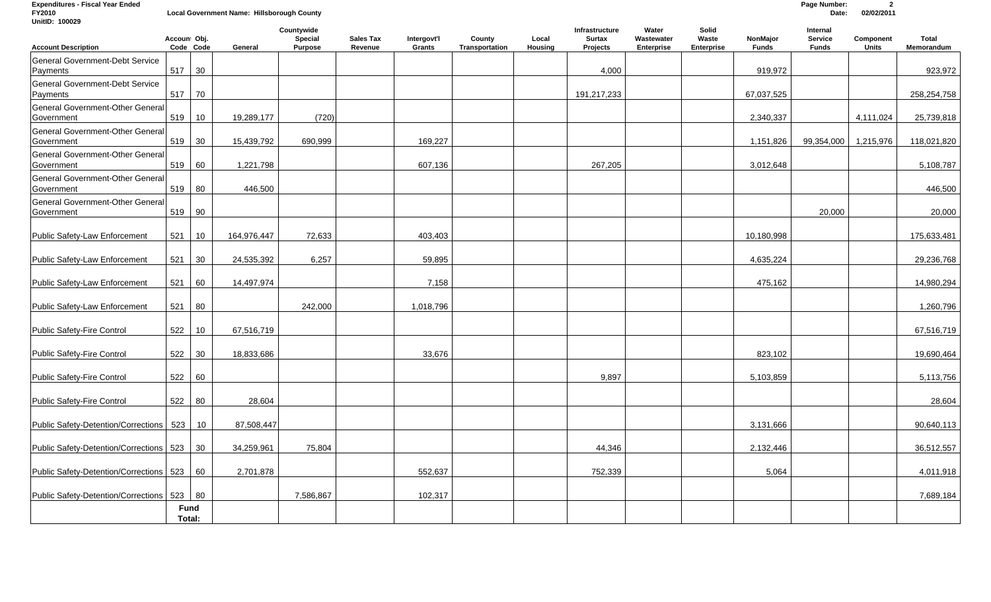**Expenditures - Fiscal Year Ended Page Number: 2 Local Government Name: Hillsborough County** 

| UnitID: 100029                                     |                       |           |             |                                         |                             |                       |                          |                  |                                             |                                          |                                     |                          |                                     |                           |                            |
|----------------------------------------------------|-----------------------|-----------|-------------|-----------------------------------------|-----------------------------|-----------------------|--------------------------|------------------|---------------------------------------------|------------------------------------------|-------------------------------------|--------------------------|-------------------------------------|---------------------------|----------------------------|
| <b>Account Description</b>                         | Accoun Obj.           | Code Code | General     | Countywide<br>Special<br><b>Purpose</b> | <b>Sales Tax</b><br>Revenue | Intergovt'l<br>Grants | County<br>Transportation | Local<br>Housing | Infrastructure<br><b>Surtax</b><br>Projects | Water<br>Wastewater<br><b>Enterprise</b> | Solid<br>Waste<br><b>Enterprise</b> | NonMajor<br><b>Funds</b> | Internal<br>Service<br><b>Funds</b> | Component<br><b>Units</b> | <b>Total</b><br>Memorandum |
| <b>General Government-Debt Service</b>             |                       |           |             |                                         |                             |                       |                          |                  |                                             |                                          |                                     |                          |                                     |                           |                            |
| Payments                                           | 517                   | 30        |             |                                         |                             |                       |                          |                  | 4.000                                       |                                          |                                     | 919,972                  |                                     |                           | 923,972                    |
| <b>General Government-Debt Service</b><br>Payments | 517                   | 70        |             |                                         |                             |                       |                          |                  | 191,217,233                                 |                                          |                                     | 67,037,525               |                                     |                           | 258,254,758                |
| General Government-Other General                   |                       |           |             |                                         |                             |                       |                          |                  |                                             |                                          |                                     |                          |                                     |                           |                            |
| Government                                         | 519                   | 10        | 19,289,177  | (720)                                   |                             |                       |                          |                  |                                             |                                          |                                     | 2,340,337                |                                     | 4,111,024                 | 25,739,818                 |
| General Government-Other General<br>Government     | 519                   | 30        | 15,439,792  | 690,999                                 |                             | 169,227               |                          |                  |                                             |                                          |                                     | 1,151,826                | 99,354,000                          | 1,215,976                 | 118,021,820                |
| General Government-Other General<br>Government     | 519                   | 60        | 1,221,798   |                                         |                             | 607,136               |                          |                  | 267,205                                     |                                          |                                     | 3,012,648                |                                     |                           | 5,108,787                  |
| General Government-Other General<br>Government     | 519                   | 80        | 446,500     |                                         |                             |                       |                          |                  |                                             |                                          |                                     |                          |                                     |                           | 446,500                    |
| General Government-Other General                   |                       |           |             |                                         |                             |                       |                          |                  |                                             |                                          |                                     |                          |                                     |                           |                            |
| Government                                         | 519                   | $90\,$    |             |                                         |                             |                       |                          |                  |                                             |                                          |                                     |                          | 20,000                              |                           | 20,000                     |
| Public Safety-Law Enforcement                      | 521                   | 10        | 164,976,447 | 72,633                                  |                             | 403,403               |                          |                  |                                             |                                          |                                     | 10,180,998               |                                     |                           | 175,633,481                |
| Public Safety-Law Enforcement                      | 521                   | 30        | 24,535,392  | 6,257                                   |                             | 59,895                |                          |                  |                                             |                                          |                                     | 4,635,224                |                                     |                           | 29,236,768                 |
| <b>Public Safety-Law Enforcement</b>               | 521                   | 60        | 14,497,974  |                                         |                             | 7,158                 |                          |                  |                                             |                                          |                                     | 475,162                  |                                     |                           | 14,980,294                 |
| Public Safety-Law Enforcement                      | 521                   | 80        |             | 242,000                                 |                             | 1,018,796             |                          |                  |                                             |                                          |                                     |                          |                                     |                           | 1,260,796                  |
| Public Safety-Fire Control                         | 522                   | 10        | 67,516,719  |                                         |                             |                       |                          |                  |                                             |                                          |                                     |                          |                                     |                           | 67,516,719                 |
| Public Safety-Fire Control                         | 522                   | 30        | 18,833,686  |                                         |                             | 33,676                |                          |                  |                                             |                                          |                                     | 823,102                  |                                     |                           | 19,690,464                 |
| Public Safety-Fire Control                         | 522                   | 60        |             |                                         |                             |                       |                          |                  | 9,897                                       |                                          |                                     | 5,103,859                |                                     |                           | 5,113,756                  |
| Public Safety-Fire Control                         | 522                   | 80        | 28,604      |                                         |                             |                       |                          |                  |                                             |                                          |                                     |                          |                                     |                           | 28,604                     |
| Public Safety-Detention/Corrections   523          |                       | 10        | 87,508,447  |                                         |                             |                       |                          |                  |                                             |                                          |                                     | 3,131,666                |                                     |                           | 90,640,113                 |
| Public Safety-Detention/Corrections   523          |                       | 30        | 34,259,961  | 75,804                                  |                             |                       |                          |                  | 44,346                                      |                                          |                                     | 2,132,446                |                                     |                           | 36,512,557                 |
| Public Safety-Detention/Corrections   523          |                       | 60        | 2,701,878   |                                         |                             | 552,637               |                          |                  | 752,339                                     |                                          |                                     | 5,064                    |                                     |                           | 4,011,918                  |
| Public Safety-Detention/Corrections                | 523 80                |           |             | 7,586,867                               |                             | 102,317               |                          |                  |                                             |                                          |                                     |                          |                                     |                           | 7,689,184                  |
|                                                    | <b>Fund</b><br>Total: |           |             |                                         |                             |                       |                          |                  |                                             |                                          |                                     |                          |                                     |                           |                            |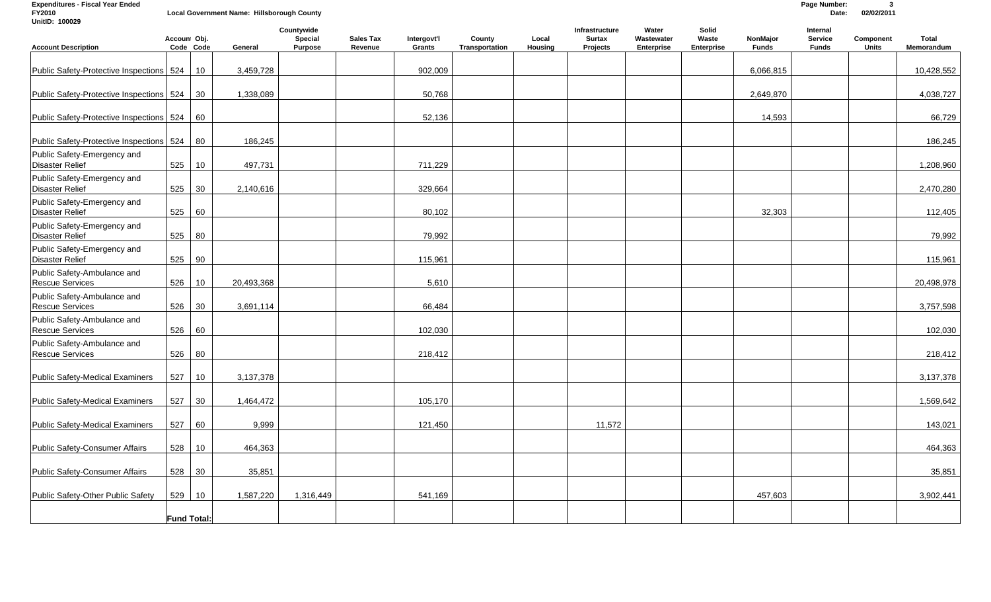**Expenditures - Fiscal Year Ended Page Number: 3 Local Government Name: Hillsborough County** 

| UnitID: 100029                                        |                    |           |            |                                  |                      |                       |                          |                         |                                             |                                   |                              |                          |                                            |                           |                            |
|-------------------------------------------------------|--------------------|-----------|------------|----------------------------------|----------------------|-----------------------|--------------------------|-------------------------|---------------------------------------------|-----------------------------------|------------------------------|--------------------------|--------------------------------------------|---------------------------|----------------------------|
| <b>Account Description</b>                            | Accoun Obj.        | Code Code | General    | Countywide<br>Special<br>Purpose | Sales Tax<br>Revenue | Intergovt'l<br>Grants | County<br>Transportation | Local<br><b>Housing</b> | Infrastructure<br><b>Surtax</b><br>Projects | Water<br>Wastewater<br>Enterprise | Solid<br>Waste<br>Enterprise | NonMajor<br><b>Funds</b> | Internal<br><b>Service</b><br><b>Funds</b> | Component<br><b>Units</b> | <b>Total</b><br>Memorandum |
|                                                       |                    |           |            |                                  |                      |                       |                          |                         |                                             |                                   |                              |                          |                                            |                           |                            |
| Public Safety-Protective Inspections 524              |                    | 10        | 3,459,728  |                                  |                      | 902,009               |                          |                         |                                             |                                   |                              | 6,066,815                |                                            |                           | 10,428,552                 |
| Public Safety-Protective Inspections 524 30           |                    |           | 1,338,089  |                                  |                      | 50,768                |                          |                         |                                             |                                   |                              | 2,649,870                |                                            |                           | 4,038,727                  |
| Public Safety-Protective Inspections 524 60           |                    |           |            |                                  |                      | 52,136                |                          |                         |                                             |                                   |                              | 14,593                   |                                            |                           | 66,729                     |
| Public Safety-Protective Inspections 524   80         |                    |           | 186,245    |                                  |                      |                       |                          |                         |                                             |                                   |                              |                          |                                            |                           | 186,245                    |
| Public Safety-Emergency and<br><b>Disaster Relief</b> | 525                | 10        | 497,731    |                                  |                      | 711,229               |                          |                         |                                             |                                   |                              |                          |                                            |                           | 1,208,960                  |
| Public Safety-Emergency and<br><b>Disaster Relief</b> | 525                | 30        | 2,140,616  |                                  |                      | 329,664               |                          |                         |                                             |                                   |                              |                          |                                            |                           | 2,470,280                  |
| Public Safety-Emergency and<br><b>Disaster Relief</b> | 525                | 60        |            |                                  |                      | 80,102                |                          |                         |                                             |                                   |                              | 32,303                   |                                            |                           | 112,405                    |
| Public Safety-Emergency and<br><b>Disaster Relief</b> | 525                | 80        |            |                                  |                      | 79,992                |                          |                         |                                             |                                   |                              |                          |                                            |                           | 79,992                     |
| Public Safety-Emergency and<br><b>Disaster Relief</b> | 525                | 90        |            |                                  |                      | 115,961               |                          |                         |                                             |                                   |                              |                          |                                            |                           | 115,961                    |
| Public Safety-Ambulance and<br><b>Rescue Services</b> | 526                | 10        | 20,493,368 |                                  |                      | 5,610                 |                          |                         |                                             |                                   |                              |                          |                                            |                           | 20,498,978                 |
| Public Safety-Ambulance and<br><b>Rescue Services</b> | 526                | 30        | 3,691,114  |                                  |                      | 66,484                |                          |                         |                                             |                                   |                              |                          |                                            |                           | 3,757,598                  |
| Public Safety-Ambulance and<br><b>Rescue Services</b> | 526                | 60        |            |                                  |                      | 102,030               |                          |                         |                                             |                                   |                              |                          |                                            |                           | 102,030                    |
| Public Safety-Ambulance and<br><b>Rescue Services</b> | 526                | 80        |            |                                  |                      | 218,412               |                          |                         |                                             |                                   |                              |                          |                                            |                           | 218,412                    |
| <b>Public Safety-Medical Examiners</b>                | 527                | 10        | 3,137,378  |                                  |                      |                       |                          |                         |                                             |                                   |                              |                          |                                            |                           | 3,137,378                  |
| Public Safety-Medical Examiners                       | 527                | 30        | 1,464,472  |                                  |                      | 105,170               |                          |                         |                                             |                                   |                              |                          |                                            |                           | 1,569,642                  |
| <b>Public Safety-Medical Examiners</b>                | 527                | 60        | 9,999      |                                  |                      | 121,450               |                          |                         | 11,572                                      |                                   |                              |                          |                                            |                           | 143,021                    |
| Public Safety-Consumer Affairs                        | 528                | 10        | 464,363    |                                  |                      |                       |                          |                         |                                             |                                   |                              |                          |                                            |                           | 464,363                    |
| Public Safety-Consumer Affairs                        | 528                | 30        | 35,851     |                                  |                      |                       |                          |                         |                                             |                                   |                              |                          |                                            |                           | 35,851                     |
| Public Safety-Other Public Safety                     | 529                | 10        | 1,587,220  | 1,316,449                        |                      | 541,169               |                          |                         |                                             |                                   |                              | 457,603                  |                                            |                           | 3,902,441                  |
|                                                       | <b>Fund Total:</b> |           |            |                                  |                      |                       |                          |                         |                                             |                                   |                              |                          |                                            |                           |                            |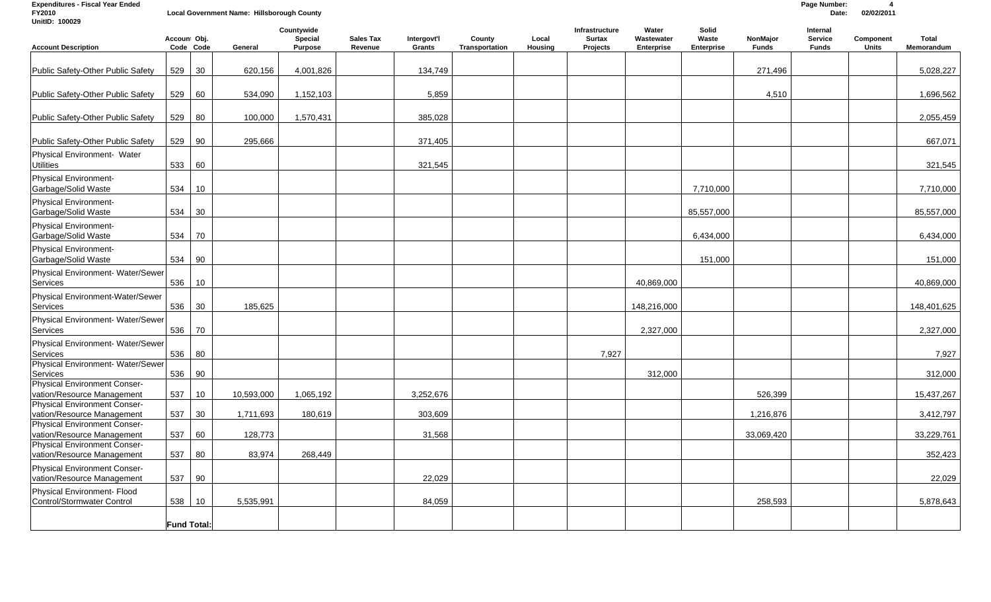**Expenditures - Fiscal Year Ended Page Number: 4 Local Government Name: Hillsborough County** 

| UnitID: 100029                                                                                    |                    |           |            |                                         |                             |                       |                          |                         |                                             |                                   |                                     |                          |                                     |                           |                     |
|---------------------------------------------------------------------------------------------------|--------------------|-----------|------------|-----------------------------------------|-----------------------------|-----------------------|--------------------------|-------------------------|---------------------------------------------|-----------------------------------|-------------------------------------|--------------------------|-------------------------------------|---------------------------|---------------------|
| <b>Account Description</b>                                                                        | Accoun Obj.        | Code Code | General    | Countywide<br><b>Special</b><br>Purpose | <b>Sales Tax</b><br>Revenue | Intergovt'l<br>Grants | County<br>Transportation | Local<br><b>Housing</b> | Infrastructure<br><b>Surtax</b><br>Projects | Water<br>Wastewater<br>Enterprise | Solid<br>Waste<br><b>Enterprise</b> | NonMajor<br><b>Funds</b> | Internal<br>Service<br><b>Funds</b> | Component<br><b>Units</b> | Total<br>Memorandum |
|                                                                                                   |                    | 30        | 620.156    |                                         |                             |                       |                          |                         |                                             |                                   |                                     |                          |                                     |                           |                     |
| Public Safety-Other Public Safety                                                                 | 529                |           |            | 4,001,826                               |                             | 134,749               |                          |                         |                                             |                                   |                                     | 271,496                  |                                     |                           | 5,028,227           |
| Public Safety-Other Public Safety                                                                 | 529                | 60        | 534,090    | 1,152,103                               |                             | 5,859                 |                          |                         |                                             |                                   |                                     | 4,510                    |                                     |                           | 1,696,562           |
| Public Safety-Other Public Safety                                                                 | 529                | 80        | 100,000    | 1,570,431                               |                             | 385,028               |                          |                         |                                             |                                   |                                     |                          |                                     |                           | 2,055,459           |
| Public Safety-Other Public Safety                                                                 | 529 90             |           | 295,666    |                                         |                             | 371,405               |                          |                         |                                             |                                   |                                     |                          |                                     |                           | 667,071             |
| Physical Environment- Water<br><b>Utilities</b>                                                   | 533                | 60        |            |                                         |                             | 321,545               |                          |                         |                                             |                                   |                                     |                          |                                     |                           | 321,545             |
| Physical Environment-<br>Garbage/Solid Waste                                                      | 534                | 10        |            |                                         |                             |                       |                          |                         |                                             |                                   | 7,710,000                           |                          |                                     |                           | 7,710,000           |
| Physical Environment-<br>Garbage/Solid Waste                                                      | 534                | 30        |            |                                         |                             |                       |                          |                         |                                             |                                   | 85,557,000                          |                          |                                     |                           | 85,557,000          |
| Physical Environment-<br>Garbage/Solid Waste                                                      | 534                | 70        |            |                                         |                             |                       |                          |                         |                                             |                                   | 6,434,000                           |                          |                                     |                           | 6,434,000           |
| Physical Environment-<br>Garbage/Solid Waste                                                      | 534                | 90        |            |                                         |                             |                       |                          |                         |                                             |                                   | 151,000                             |                          |                                     |                           | 151,000             |
| Physical Environment- Water/Sewer<br>Services                                                     | 536                | $10$      |            |                                         |                             |                       |                          |                         |                                             | 40,869,000                        |                                     |                          |                                     |                           | 40,869,000          |
| Physical Environment-Water/Sewer<br>Services                                                      | 536                | 30        | 185,625    |                                         |                             |                       |                          |                         |                                             | 148,216,000                       |                                     |                          |                                     |                           | 148,401,625         |
| Physical Environment- Water/Sewer<br>Services                                                     | 536                | $70\,$    |            |                                         |                             |                       |                          |                         |                                             | 2,327,000                         |                                     |                          |                                     |                           | 2,327,000           |
| Physical Environment- Water/Sewer<br>Services                                                     | 536                | 80        |            |                                         |                             |                       |                          |                         | 7,927                                       |                                   |                                     |                          |                                     |                           | 7,927               |
| Physical Environment- Water/Sewer<br>Services                                                     | 536                | 90        |            |                                         |                             |                       |                          |                         |                                             | 312,000                           |                                     |                          |                                     |                           | 312,000             |
| <b>Physical Environment Conser-</b><br>vation/Resource Management                                 | 537                | 10        | 10,593,000 | 1,065,192                               |                             | 3,252,676             |                          |                         |                                             |                                   |                                     | 526,399                  |                                     |                           | 15,437,267          |
| <b>Physical Environment Conser-</b><br>vation/Resource Management                                 | 537                | $30\,$    | 1,711,693  | 180,619                                 |                             | 303,609               |                          |                         |                                             |                                   |                                     | 1,216,876                |                                     |                           | 3,412,797           |
| Physical Environment Conser-<br>vation/Resource Management<br><b>Physical Environment Conser-</b> | 537                | 60        | 128,773    |                                         |                             | 31,568                |                          |                         |                                             |                                   |                                     | 33,069,420               |                                     |                           | 33,229,761          |
| vation/Resource Management                                                                        | 537                | 80        | 83,974     | 268,449                                 |                             |                       |                          |                         |                                             |                                   |                                     |                          |                                     |                           | 352,423             |
| Physical Environment Conser-<br>vation/Resource Management                                        | 537                | 90        |            |                                         |                             | 22,029                |                          |                         |                                             |                                   |                                     |                          |                                     |                           | 22,029              |
| Physical Environment- Flood<br>Control/Stormwater Control                                         | 538                | 10        | 5,535,991  |                                         |                             | 84,059                |                          |                         |                                             |                                   |                                     | 258,593                  |                                     |                           | 5,878,643           |
|                                                                                                   | <b>Fund Total:</b> |           |            |                                         |                             |                       |                          |                         |                                             |                                   |                                     |                          |                                     |                           |                     |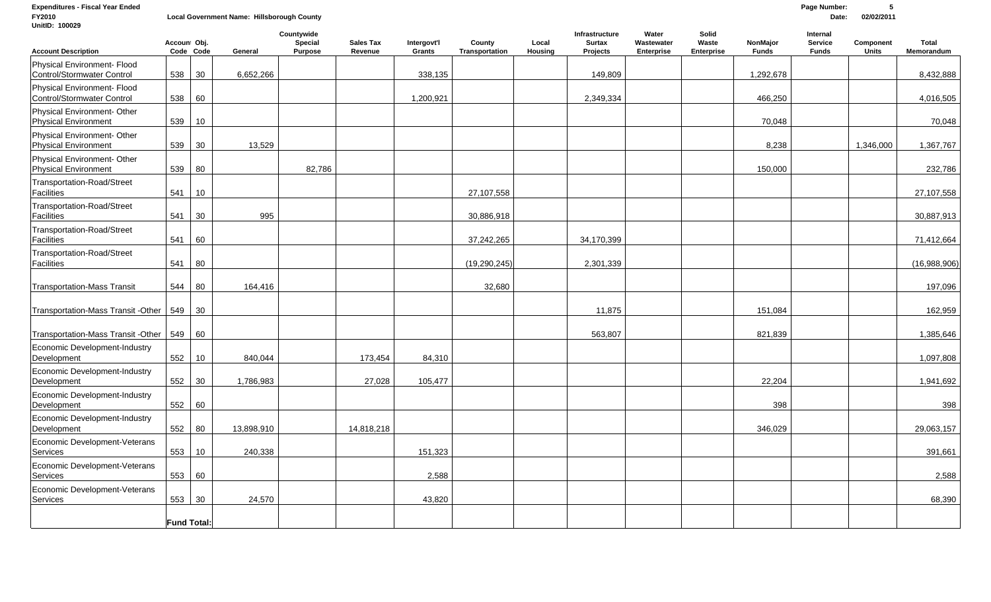**Expenditures - Fiscal Year Ended Page Number: 5**

**FY2010 Local Government Name: Hillsborough County Date: 02/02/2011 UnitID: 100029**

| <b>Account Description</b>                                 | Accoun Obj.        | Code Code | General    | Countywide<br>Special<br>Purpose | <b>Sales Tax</b><br>Revenue | Intergovt'l<br>Grants | County<br>Transportation | Local<br><b>Housing</b> | Infrastructure<br><b>Surtax</b><br>Projects | Water<br>Wastewater<br><b>Enterprise</b> | Solid<br>Waste<br>Enterprise | NonMajor<br><b>Funds</b> | Internal<br><b>Service</b><br><b>Funds</b> | Component<br><b>Units</b> | <b>Total</b><br>Memorandum |
|------------------------------------------------------------|--------------------|-----------|------------|----------------------------------|-----------------------------|-----------------------|--------------------------|-------------------------|---------------------------------------------|------------------------------------------|------------------------------|--------------------------|--------------------------------------------|---------------------------|----------------------------|
| Physical Environment- Flood<br>Control/Stormwater Control  | 538                | 30        | 6,652,266  |                                  |                             | 338,135               |                          |                         | 149,809                                     |                                          |                              | 1,292,678                |                                            |                           | 8,432,888                  |
| Physical Environment- Flood<br>Control/Stormwater Control  | 538                | 60        |            |                                  |                             | 1,200,921             |                          |                         | 2,349,334                                   |                                          |                              | 466,250                  |                                            |                           | 4,016,505                  |
| Physical Environment- Other<br>Physical Environment        | 539                | 10        |            |                                  |                             |                       |                          |                         |                                             |                                          |                              | 70,048                   |                                            |                           | 70,048                     |
| Physical Environment- Other<br>Physical Environment        | 539                | 30        | 13,529     |                                  |                             |                       |                          |                         |                                             |                                          |                              | 8,238                    |                                            | 1,346,000                 | 1,367,767                  |
| Physical Environment- Other<br><b>Physical Environment</b> | 539                | 80        |            | 82,786                           |                             |                       |                          |                         |                                             |                                          |                              | 150,000                  |                                            |                           | 232,786                    |
| Transportation-Road/Street<br>Facilities                   | 541                | 10        |            |                                  |                             |                       | 27,107,558               |                         |                                             |                                          |                              |                          |                                            |                           | 27,107,558                 |
| Transportation-Road/Street<br>Facilities                   | 541                | 30        | 995        |                                  |                             |                       | 30,886,918               |                         |                                             |                                          |                              |                          |                                            |                           | 30,887,913                 |
| Transportation-Road/Street<br>Facilities                   | 541                | 60        |            |                                  |                             |                       | 37,242,265               |                         | 34,170,399                                  |                                          |                              |                          |                                            |                           | 71,412,664                 |
| Transportation-Road/Street<br>Facilities                   | 541                | 80        |            |                                  |                             |                       | (19, 290, 245)           |                         | 2,301,339                                   |                                          |                              |                          |                                            |                           | (16,988,906)               |
| <b>Transportation-Mass Transit</b>                         | 544                | 80        | 164,416    |                                  |                             |                       | 32,680                   |                         |                                             |                                          |                              |                          |                                            |                           | 197,096                    |
| Transportation-Mass Transit -Other   549                   |                    | 30        |            |                                  |                             |                       |                          |                         | 11,875                                      |                                          |                              | 151,084                  |                                            |                           | 162,959                    |
| Transportation-Mass Transit -Other   549                   |                    | 60        |            |                                  |                             |                       |                          |                         | 563,807                                     |                                          |                              | 821,839                  |                                            |                           | 1,385,646                  |
| Economic Development-Industry<br>Development               | 552                | 10        | 840,044    |                                  | 173,454                     | 84,310                |                          |                         |                                             |                                          |                              |                          |                                            |                           | 1,097,808                  |
| Economic Development-Industry<br>Development               | 552                | 30        | 1,786,983  |                                  | 27,028                      | 105,477               |                          |                         |                                             |                                          |                              | 22.204                   |                                            |                           | 1,941,692                  |
| Economic Development-Industry<br>Development               | 552                | 60        |            |                                  |                             |                       |                          |                         |                                             |                                          |                              | 398                      |                                            |                           | 398                        |
| Economic Development-Industry<br>Development               | 552                | 80        | 13,898,910 |                                  | 14,818,218                  |                       |                          |                         |                                             |                                          |                              | 346,029                  |                                            |                           | 29,063,157                 |
| Economic Development-Veterans<br>Services                  | 553                | 10        | 240,338    |                                  |                             | 151,323               |                          |                         |                                             |                                          |                              |                          |                                            |                           | 391,661                    |
| Economic Development-Veterans<br>Services                  | 553                | 60        |            |                                  |                             | 2,588                 |                          |                         |                                             |                                          |                              |                          |                                            |                           | 2,588                      |
| Economic Development-Veterans<br>Services                  | 553                | 30        | 24,570     |                                  |                             | 43,820                |                          |                         |                                             |                                          |                              |                          |                                            |                           | 68,390                     |
|                                                            | <b>Fund Total:</b> |           |            |                                  |                             |                       |                          |                         |                                             |                                          |                              |                          |                                            |                           |                            |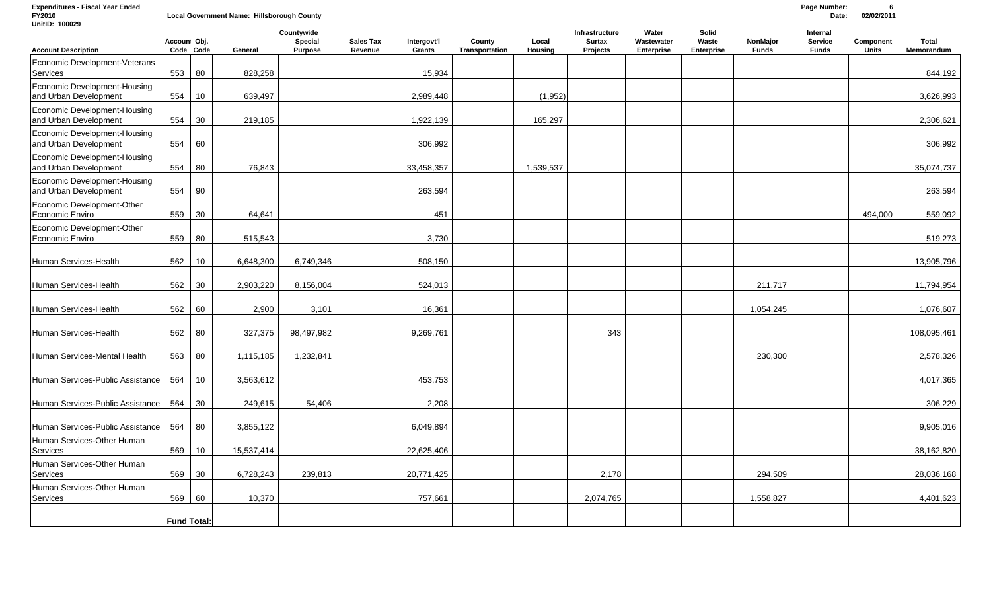**Expenditures - Fiscal Year Ended Page Number: 6** *<u>Local Government Name: Hillsborough County*</u>

| UnitID: 100029                                        |                    |                  |            |                                                |                             |                       |                          |                         |                                             |                                   |                              |                                 |                                     |                           |                            |
|-------------------------------------------------------|--------------------|------------------|------------|------------------------------------------------|-----------------------------|-----------------------|--------------------------|-------------------------|---------------------------------------------|-----------------------------------|------------------------------|---------------------------------|-------------------------------------|---------------------------|----------------------------|
| <b>Account Description</b>                            | Accoun Obj.        | Code Code        | General    | Countywide<br><b>Special</b><br><b>Purpose</b> | <b>Sales Tax</b><br>Revenue | Intergovt'l<br>Grants | County<br>Transportation | Local<br><b>Housing</b> | Infrastructure<br><b>Surtax</b><br>Projects | Water<br>Wastewater<br>Enterprise | Solid<br>Waste<br>Enterprise | <b>NonMajor</b><br><b>Funds</b> | Internal<br>Service<br><b>Funds</b> | Component<br><b>Units</b> | <b>Total</b><br>Memorandum |
| Economic Development-Veterans<br>Services             | 553                | 80               | 828,258    |                                                |                             | 15,934                |                          |                         |                                             |                                   |                              |                                 |                                     |                           | 844,192                    |
| Economic Development-Housing<br>and Urban Development | 554                | 10               | 639,497    |                                                |                             | 2,989,448             |                          | (1.952)                 |                                             |                                   |                              |                                 |                                     |                           | 3,626,993                  |
| Economic Development-Housing<br>and Urban Development | 554                | 30               | 219,185    |                                                |                             | 1,922,139             |                          | 165,297                 |                                             |                                   |                              |                                 |                                     |                           | 2,306,621                  |
| Economic Development-Housing<br>and Urban Development | 554                | 60               |            |                                                |                             | 306,992               |                          |                         |                                             |                                   |                              |                                 |                                     |                           | 306,992                    |
| Economic Development-Housing<br>and Urban Development | 554                | 80               | 76,843     |                                                |                             | 33,458,357            |                          | 1,539,537               |                                             |                                   |                              |                                 |                                     |                           | 35,074,737                 |
| Economic Development-Housing<br>and Urban Development | 554                | 90               |            |                                                |                             | 263,594               |                          |                         |                                             |                                   |                              |                                 |                                     |                           | 263,594                    |
| Economic Development-Other<br>Economic Enviro         | 559                | 30               | 64,641     |                                                |                             | 451                   |                          |                         |                                             |                                   |                              |                                 |                                     | 494,000                   | 559,092                    |
| Economic Development-Other<br>Economic Enviro         | 559                | 80               | 515,543    |                                                |                             | 3,730                 |                          |                         |                                             |                                   |                              |                                 |                                     |                           | 519,273                    |
| Human Services-Health                                 | 562                | 10               | 6,648,300  | 6,749,346                                      |                             | 508,150               |                          |                         |                                             |                                   |                              |                                 |                                     |                           | 13,905,796                 |
| Human Services-Health                                 | 562                | 30               | 2,903,220  | 8,156,004                                      |                             | 524,013               |                          |                         |                                             |                                   |                              | 211,717                         |                                     |                           | 11,794,954                 |
| Human Services-Health                                 | 562                | 60               | 2,900      | 3,101                                          |                             | 16,361                |                          |                         |                                             |                                   |                              | 1,054,245                       |                                     |                           | 1,076,607                  |
| Human Services-Health                                 | 562                | 80               | 327,375    | 98,497,982                                     |                             | 9,269,761             |                          |                         | 343                                         |                                   |                              |                                 |                                     |                           | 108,095,461                |
| Human Services-Mental Health                          | 563                | 80               | 1,115,185  | 1,232,841                                      |                             |                       |                          |                         |                                             |                                   |                              | 230,300                         |                                     |                           | 2,578,326                  |
| Human Services-Public Assistance                      | 564                | 10 <sup>1</sup>  | 3,563,612  |                                                |                             | 453,753               |                          |                         |                                             |                                   |                              |                                 |                                     |                           | 4,017,365                  |
| Human Services-Public Assistance                      | 564                | 30               | 249,615    | 54,406                                         |                             | 2,208                 |                          |                         |                                             |                                   |                              |                                 |                                     |                           | 306,229                    |
| Human Services-Public Assistance                      | 564                | 80               | 3,855,122  |                                                |                             | 6,049,894             |                          |                         |                                             |                                   |                              |                                 |                                     |                           | 9,905,016                  |
| Human Services-Other Human<br>Services                | 569                | 10 <sup>10</sup> | 15,537,414 |                                                |                             | 22,625,406            |                          |                         |                                             |                                   |                              |                                 |                                     |                           | 38,162,820                 |
| Human Services-Other Human<br><b>Services</b>         | 569                | 30               | 6,728,243  | 239,813                                        |                             | 20.771.425            |                          |                         | 2,178                                       |                                   |                              | 294,509                         |                                     |                           | 28,036,168                 |
| Human Services-Other Human<br>Services                | 569                | 60               | 10,370     |                                                |                             | 757,661               |                          |                         | 2,074,765                                   |                                   |                              | 1,558,827                       |                                     |                           | 4,401,623                  |
|                                                       | <b>Fund Total:</b> |                  |            |                                                |                             |                       |                          |                         |                                             |                                   |                              |                                 |                                     |                           |                            |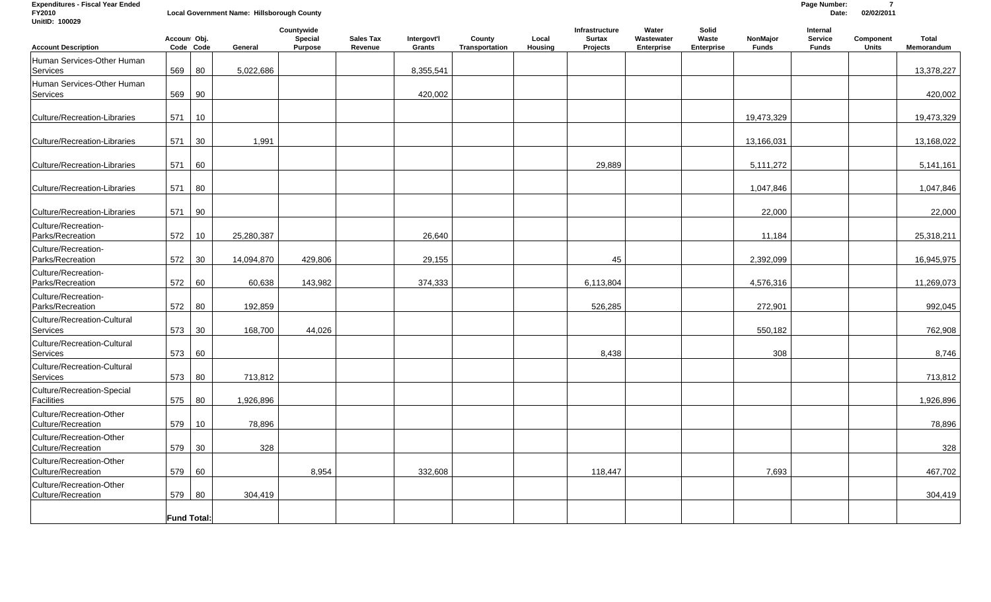**Expenditures - Fiscal Year Ended Page Number: 7 Local Government Name: Hillsborough County** 

| <b>UnitID: 100029</b>                          |                    |           |            |                                  |                             |                       |                          |                  |                                             |                                          |                              |                          |                                     |                           |                            |
|------------------------------------------------|--------------------|-----------|------------|----------------------------------|-----------------------------|-----------------------|--------------------------|------------------|---------------------------------------------|------------------------------------------|------------------------------|--------------------------|-------------------------------------|---------------------------|----------------------------|
| <b>Account Description</b>                     | Accoun Obj.        | Code Code | General    | Countywide<br>Special<br>Purpose | <b>Sales Tax</b><br>Revenue | Intergovt'l<br>Grants | County<br>Transportation | Local<br>Housing | Infrastructure<br><b>Surtax</b><br>Projects | Water<br>Wastewater<br><b>Enterprise</b> | Solid<br>Waste<br>Enterprise | NonMajor<br><b>Funds</b> | Internal<br>Service<br><b>Funds</b> | Component<br><b>Units</b> | <b>Total</b><br>Memorandum |
| Human Services-Other Human                     |                    |           |            |                                  |                             |                       |                          |                  |                                             |                                          |                              |                          |                                     |                           |                            |
| Services                                       | 569                | 80        | 5,022,686  |                                  |                             | 8,355,541             |                          |                  |                                             |                                          |                              |                          |                                     |                           | 13,378,227                 |
| Human Services-Other Human<br>Services         | 569                | $90\,$    |            |                                  |                             | 420,002               |                          |                  |                                             |                                          |                              |                          |                                     |                           | 420,002                    |
| Culture/Recreation-Libraries                   | 571                | 10        |            |                                  |                             |                       |                          |                  |                                             |                                          |                              | 19,473,329               |                                     |                           | 19,473,329                 |
| Culture/Recreation-Libraries                   | 571                | 30        | 1,991      |                                  |                             |                       |                          |                  |                                             |                                          |                              | 13,166,031               |                                     |                           | 13,168,022                 |
| Culture/Recreation-Libraries                   | 571                | 60        |            |                                  |                             |                       |                          |                  | 29,889                                      |                                          |                              | 5,111,272                |                                     |                           | 5,141,161                  |
| Culture/Recreation-Libraries                   | 571                | 80        |            |                                  |                             |                       |                          |                  |                                             |                                          |                              | 1,047,846                |                                     |                           | 1,047,846                  |
| Culture/Recreation-Libraries                   | 571                | 90        |            |                                  |                             |                       |                          |                  |                                             |                                          |                              | 22,000                   |                                     |                           | 22,000                     |
| Culture/Recreation-<br>Parks/Recreation        | 572                | 10        | 25,280,387 |                                  |                             | 26,640                |                          |                  |                                             |                                          |                              | 11,184                   |                                     |                           | 25,318,211                 |
| Culture/Recreation-<br>Parks/Recreation        | 572                | $30\,$    | 14,094,870 | 429,806                          |                             | 29,155                |                          |                  | 45                                          |                                          |                              | 2,392,099                |                                     |                           | 16,945,975                 |
| Culture/Recreation-<br>Parks/Recreation        | 572                | 60        | 60,638     | 143,982                          |                             | 374,333               |                          |                  | 6,113,804                                   |                                          |                              | 4,576,316                |                                     |                           | 11,269,073                 |
| Culture/Recreation-<br>Parks/Recreation        | 572                | 80        | 192,859    |                                  |                             |                       |                          |                  | 526,285                                     |                                          |                              | 272,901                  |                                     |                           | 992,045                    |
| Culture/Recreation-Cultural<br>Services        | 573                | 30        | 168,700    | 44,026                           |                             |                       |                          |                  |                                             |                                          |                              | 550,182                  |                                     |                           | 762,908                    |
| Culture/Recreation-Cultural<br>Services        | 573                | 60        |            |                                  |                             |                       |                          |                  | 8,438                                       |                                          |                              | 308                      |                                     |                           | 8,746                      |
| Culture/Recreation-Cultural<br>Services        | 573                | 80        | 713,812    |                                  |                             |                       |                          |                  |                                             |                                          |                              |                          |                                     |                           | 713,812                    |
| Culture/Recreation-Special<br>Facilities       | 575                | 80        | 1,926,896  |                                  |                             |                       |                          |                  |                                             |                                          |                              |                          |                                     |                           | 1,926,896                  |
| Culture/Recreation-Other<br>Culture/Recreation | 579                | 10        | 78,896     |                                  |                             |                       |                          |                  |                                             |                                          |                              |                          |                                     |                           | 78,896                     |
| Culture/Recreation-Other<br>Culture/Recreation | 579                | 30        | 328        |                                  |                             |                       |                          |                  |                                             |                                          |                              |                          |                                     |                           | 328                        |
| Culture/Recreation-Other<br>Culture/Recreation | 579                | 60        |            | 8,954                            |                             | 332,608               |                          |                  | 118,447                                     |                                          |                              | 7,693                    |                                     |                           | 467,702                    |
| Culture/Recreation-Other<br>Culture/Recreation | 579                | 80        | 304,419    |                                  |                             |                       |                          |                  |                                             |                                          |                              |                          |                                     |                           | 304,419                    |
|                                                | <b>Fund Total:</b> |           |            |                                  |                             |                       |                          |                  |                                             |                                          |                              |                          |                                     |                           |                            |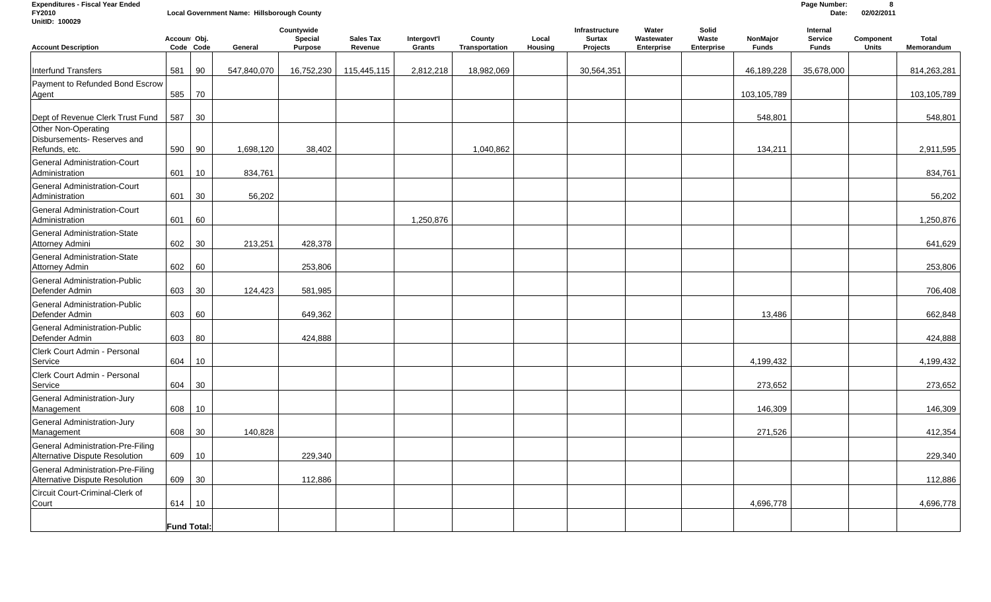**UnitID: 100029**

**Expenditures - Fiscal Year Ended Page Number: 8 Local Government Name: Hillsborough County** 

| <b>Account Description</b>                                                            | Accoun Obj.        | Code Code | General              | Countywide<br><b>Special</b><br>Purpose | <b>Sales Tax</b><br>Revenue | Intergovt'l<br>Grants | County<br>Transportation | Local<br>Housing | Infrastructure<br><b>Surtax</b><br>Projects | Water<br>Wastewater<br>Enterprise | Solid<br>Waste<br>Enterprise | NonMajor<br><b>Funds</b> | Internal<br><b>Service</b><br><b>Funds</b> | Component<br><b>Units</b> | Total<br>Memorandum  |
|---------------------------------------------------------------------------------------|--------------------|-----------|----------------------|-----------------------------------------|-----------------------------|-----------------------|--------------------------|------------------|---------------------------------------------|-----------------------------------|------------------------------|--------------------------|--------------------------------------------|---------------------------|----------------------|
| Interfund Transfers                                                                   | 581                | 90        | 547.840.070          | 16,752,230                              | 115,445,115                 | 2,812,218             | 18,982,069               |                  | 30,564,351                                  |                                   |                              | 46,189,228               | 35,678,000                                 |                           | 814,263,281          |
| Payment to Refunded Bond Escrow<br>Agent                                              | 585                | 70        |                      |                                         |                             |                       |                          |                  |                                             |                                   |                              | 103,105,789              |                                            |                           | 103,105,789          |
| Dept of Revenue Clerk Trust Fund<br>Other Non-Operating<br>Disbursements-Reserves and | 587                | $30\,$    |                      |                                         |                             |                       |                          |                  |                                             |                                   |                              | 548,801                  |                                            |                           | 548,801              |
| Refunds, etc.<br><b>General Administration-Court</b><br>Administration                | 590<br>601         | 90<br>10  | 1,698,120<br>834,761 | 38,402                                  |                             |                       | 1,040,862                |                  |                                             |                                   |                              | 134,211                  |                                            |                           | 2,911,595<br>834,761 |
| <b>General Administration-Court</b><br>Administration                                 | 601                | 30        | 56,202               |                                         |                             |                       |                          |                  |                                             |                                   |                              |                          |                                            |                           | 56,202               |
| <b>General Administration-Court</b><br>Administration                                 | 601                | 60        |                      |                                         |                             | 1,250,876             |                          |                  |                                             |                                   |                              |                          |                                            |                           | 1,250,876            |
| <b>General Administration-State</b><br>Attorney Admini                                | 602                | 30        | 213,251              | 428,378                                 |                             |                       |                          |                  |                                             |                                   |                              |                          |                                            |                           | 641,629              |
| <b>General Administration-State</b><br>Attorney Admin                                 | 602                | 60        |                      | 253,806                                 |                             |                       |                          |                  |                                             |                                   |                              |                          |                                            |                           | 253,806              |
| <b>General Administration-Public</b><br>Defender Admin                                | 603                | 30        | 124,423              | 581,985                                 |                             |                       |                          |                  |                                             |                                   |                              |                          |                                            |                           | 706,408              |
| <b>General Administration-Public</b><br>Defender Admin                                | 603                | 60        |                      | 649,362                                 |                             |                       |                          |                  |                                             |                                   |                              | 13,486                   |                                            |                           | 662,848              |
| <b>General Administration-Public</b><br>Defender Admin                                | 603                | 80        |                      | 424,888                                 |                             |                       |                          |                  |                                             |                                   |                              |                          |                                            |                           | 424,888              |
| Clerk Court Admin - Personal<br>Service                                               | 604                | 10        |                      |                                         |                             |                       |                          |                  |                                             |                                   |                              | 4,199,432                |                                            |                           | 4,199,432            |
| Clerk Court Admin - Personal<br>Service                                               | 604                | $30\,$    |                      |                                         |                             |                       |                          |                  |                                             |                                   |                              | 273,652                  |                                            |                           | 273,652              |
| <b>General Administration-Jury</b><br>Management                                      | 608                | $10$      |                      |                                         |                             |                       |                          |                  |                                             |                                   |                              | 146,309                  |                                            |                           | 146,309              |
| <b>General Administration-Jury</b><br>Management                                      | 608                | 30        | 140,828              |                                         |                             |                       |                          |                  |                                             |                                   |                              | 271,526                  |                                            |                           | 412,354              |
| <b>General Administration-Pre-Filing</b><br>Alternative Dispute Resolution            | 609                | $10$      |                      | 229,340                                 |                             |                       |                          |                  |                                             |                                   |                              |                          |                                            |                           | 229,340              |
| <b>General Administration-Pre-Filing</b><br><b>Alternative Dispute Resolution</b>     | 609                | 30        |                      | 112,886                                 |                             |                       |                          |                  |                                             |                                   |                              |                          |                                            |                           | 112,886              |
| Circuit Court-Criminal-Clerk of<br>Court                                              | 614                | $10$      |                      |                                         |                             |                       |                          |                  |                                             |                                   |                              | 4,696,778                |                                            |                           | 4,696,778            |
|                                                                                       | <b>Fund Total:</b> |           |                      |                                         |                             |                       |                          |                  |                                             |                                   |                              |                          |                                            |                           |                      |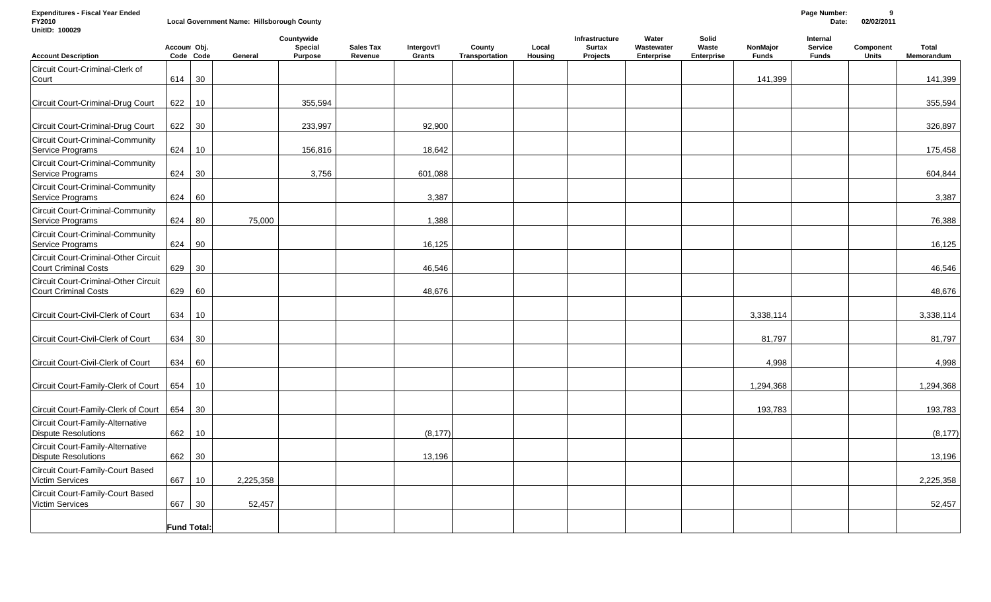**Expenditures - Fiscal Year Ended Page Number: 9 FY2010 Local Government Name: Hillsborough County Date: 02/02/2011**

| UnitID: 100029                                                      |                    |           |           | Countywide         |                             |                       |                          |                         | Infrastructure            | Water                    | Solid               |                          | Internal                       |                           |                            |
|---------------------------------------------------------------------|--------------------|-----------|-----------|--------------------|-----------------------------|-----------------------|--------------------------|-------------------------|---------------------------|--------------------------|---------------------|--------------------------|--------------------------------|---------------------------|----------------------------|
| <b>Account Description</b>                                          | Accoun Obj.        | Code Code | General   | Special<br>Purpose | <b>Sales Tax</b><br>Revenue | Intergovt'l<br>Grants | County<br>Transportation | Local<br><b>Housing</b> | <b>Surtax</b><br>Projects | Wastewater<br>Enterprise | Waste<br>Enterprise | NonMajor<br><b>Funds</b> | <b>Service</b><br><b>Funds</b> | Component<br><b>Units</b> | <b>Total</b><br>Memorandum |
| Circuit Court-Criminal-Clerk of<br>Court                            | 614                | 30        |           |                    |                             |                       |                          |                         |                           |                          |                     | 141,399                  |                                |                           | 141,399                    |
|                                                                     |                    |           |           |                    |                             |                       |                          |                         |                           |                          |                     |                          |                                |                           |                            |
| Circuit Court-Criminal-Drug Court                                   | 622                | 10        |           | 355,594            |                             |                       |                          |                         |                           |                          |                     |                          |                                |                           | 355,594                    |
| Circuit Court-Criminal-Drug Court                                   | 622                | 30        |           | 233,997            |                             | 92,900                |                          |                         |                           |                          |                     |                          |                                |                           | 326,897                    |
| Circuit Court-Criminal-Community<br>Service Programs                | 624                | 10        |           | 156,816            |                             | 18,642                |                          |                         |                           |                          |                     |                          |                                |                           | 175,458                    |
| Circuit Court-Criminal-Community<br>Service Programs                | 624                | 30        |           | 3,756              |                             | 601,088               |                          |                         |                           |                          |                     |                          |                                |                           | 604,844                    |
| Circuit Court-Criminal-Community<br>Service Programs                | 624                | 60        |           |                    |                             | 3,387                 |                          |                         |                           |                          |                     |                          |                                |                           | 3,387                      |
| Circuit Court-Criminal-Community<br>Service Programs                | 624                | 80        | 75,000    |                    |                             | 1,388                 |                          |                         |                           |                          |                     |                          |                                |                           | 76,388                     |
| Circuit Court-Criminal-Community<br>Service Programs                | 624                | 90        |           |                    |                             | 16,125                |                          |                         |                           |                          |                     |                          |                                |                           | 16,125                     |
| Circuit Court-Criminal-Other Circuit<br>Court Criminal Costs        | 629                | 30        |           |                    |                             | 46,546                |                          |                         |                           |                          |                     |                          |                                |                           | 46,546                     |
| Circuit Court-Criminal-Other Circuit<br><b>Court Criminal Costs</b> | 629                | 60        |           |                    |                             | 48,676                |                          |                         |                           |                          |                     |                          |                                |                           | 48,676                     |
| Circuit Court-Civil-Clerk of Court                                  | 634                | 10        |           |                    |                             |                       |                          |                         |                           |                          |                     | 3,338,114                |                                |                           | 3,338,114                  |
| Circuit Court-Civil-Clerk of Court                                  | 634                | 30        |           |                    |                             |                       |                          |                         |                           |                          |                     | 81,797                   |                                |                           | 81,797                     |
| Circuit Court-Civil-Clerk of Court                                  | 634                | 60        |           |                    |                             |                       |                          |                         |                           |                          |                     | 4,998                    |                                |                           | 4,998                      |
| Circuit Court-Family-Clerk of Court                                 | 654                | 10        |           |                    |                             |                       |                          |                         |                           |                          |                     | 1,294,368                |                                |                           | 1,294,368                  |
| Circuit Court-Family-Clerk of Court                                 | 654                | 30        |           |                    |                             |                       |                          |                         |                           |                          |                     | 193,783                  |                                |                           | 193,783                    |
| Circuit Court-Family-Alternative<br><b>Dispute Resolutions</b>      | 662                | 10        |           |                    |                             | (8, 177)              |                          |                         |                           |                          |                     |                          |                                |                           | (8, 177)                   |
| Circuit Court-Family-Alternative<br><b>Dispute Resolutions</b>      | 662                | 30        |           |                    |                             | 13,196                |                          |                         |                           |                          |                     |                          |                                |                           | 13,196                     |
| Circuit Court-Family-Court Based<br>Victim Services                 | 667                | 10        | 2,225,358 |                    |                             |                       |                          |                         |                           |                          |                     |                          |                                |                           | 2,225,358                  |
| Circuit Court-Family-Court Based<br>Victim Services                 | 667                | 30        | 52,457    |                    |                             |                       |                          |                         |                           |                          |                     |                          |                                |                           | 52,457                     |
|                                                                     | <b>Fund Total:</b> |           |           |                    |                             |                       |                          |                         |                           |                          |                     |                          |                                |                           |                            |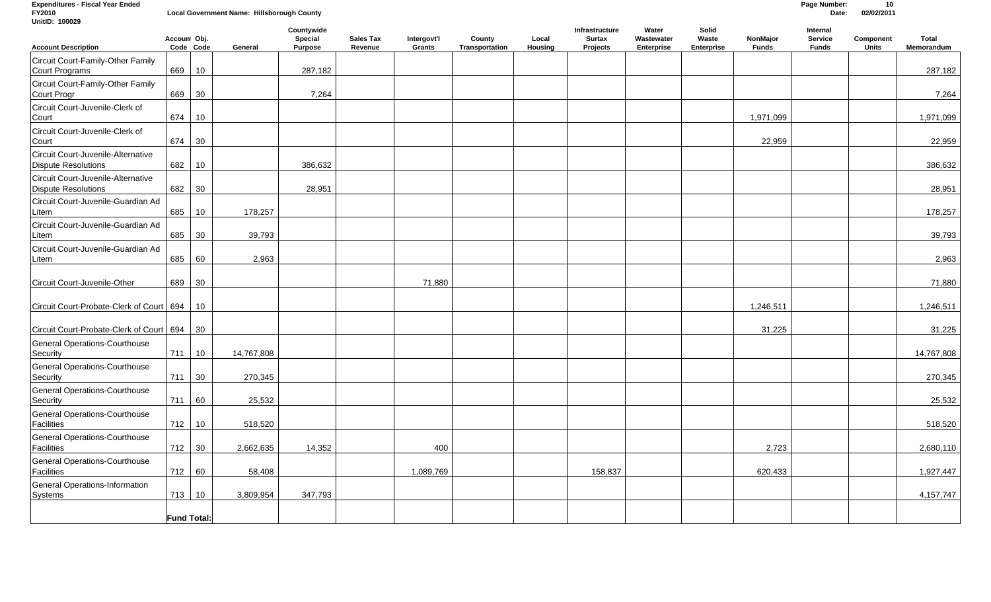**Expenditures - Fiscal Year Ended Page Number: 10 Local Government Name: Hillsborough County** 

| UnitID: 100029                                                   |                    |           |            |                                  |                             |                       |                          |                         |                                             |                                   |                                     |                          |                                     |                           |                            |
|------------------------------------------------------------------|--------------------|-----------|------------|----------------------------------|-----------------------------|-----------------------|--------------------------|-------------------------|---------------------------------------------|-----------------------------------|-------------------------------------|--------------------------|-------------------------------------|---------------------------|----------------------------|
| <b>Account Description</b>                                       | Accoun Obj.        | Code Code | General    | Countywide<br>Special<br>Purpose | <b>Sales Tax</b><br>Revenue | Intergovt'l<br>Grants | County<br>Transportation | Local<br><b>Housing</b> | Infrastructure<br><b>Surtax</b><br>Projects | Water<br>Wastewater<br>Enterprise | Solid<br>Waste<br><b>Enterprise</b> | NonMajor<br><b>Funds</b> | Internal<br>Service<br><b>Funds</b> | Component<br><b>Units</b> | <b>Total</b><br>Memorandum |
| Circuit Court-Family-Other Family<br>Court Programs              | 669                | 10        |            | 287,182                          |                             |                       |                          |                         |                                             |                                   |                                     |                          |                                     |                           | 287,182                    |
| Circuit Court-Family-Other Family<br>Court Progr                 | 669                | 30        |            | 7,264                            |                             |                       |                          |                         |                                             |                                   |                                     |                          |                                     |                           | 7,264                      |
| Circuit Court-Juvenile-Clerk of<br>Court                         | 674                | 10        |            |                                  |                             |                       |                          |                         |                                             |                                   |                                     | 1,971,099                |                                     |                           | 1,971,099                  |
| Circuit Court-Juvenile-Clerk of<br>Court                         | 674                | 30        |            |                                  |                             |                       |                          |                         |                                             |                                   |                                     | 22,959                   |                                     |                           | 22,959                     |
| Circuit Court-Juvenile-Alternative<br><b>Dispute Resolutions</b> | 682                | 10        |            | 386,632                          |                             |                       |                          |                         |                                             |                                   |                                     |                          |                                     |                           | 386,632                    |
| Circuit Court-Juvenile-Alternative<br><b>Dispute Resolutions</b> | 682                | 30        |            | 28,951                           |                             |                       |                          |                         |                                             |                                   |                                     |                          |                                     |                           | 28,951                     |
| Circuit Court-Juvenile-Guardian Ad<br>Litem                      | 685                | 10        | 178,257    |                                  |                             |                       |                          |                         |                                             |                                   |                                     |                          |                                     |                           | 178,257                    |
| Circuit Court-Juvenile-Guardian Ad<br>Litem                      | 685                | 30        | 39,793     |                                  |                             |                       |                          |                         |                                             |                                   |                                     |                          |                                     |                           | 39,793                     |
| Circuit Court-Juvenile-Guardian Ad<br>Litem                      | 685                | 60        | 2,963      |                                  |                             |                       |                          |                         |                                             |                                   |                                     |                          |                                     |                           | 2,963                      |
| Circuit Court-Juvenile-Other                                     | 689                | 30        |            |                                  |                             | 71,880                |                          |                         |                                             |                                   |                                     |                          |                                     |                           | 71,880                     |
| Circuit Court-Probate-Clerk of Court   694                       |                    | 10        |            |                                  |                             |                       |                          |                         |                                             |                                   |                                     | 1,246,511                |                                     |                           | 1,246,511                  |
| Circuit Court-Probate-Clerk of Court 694                         |                    | 30        |            |                                  |                             |                       |                          |                         |                                             |                                   |                                     | 31,225                   |                                     |                           | 31,225                     |
| General Operations-Courthouse<br>Security                        | 711                | 10        | 14,767,808 |                                  |                             |                       |                          |                         |                                             |                                   |                                     |                          |                                     |                           | 14,767,808                 |
| General Operations-Courthouse<br>Security                        | 711                | 30        | 270,345    |                                  |                             |                       |                          |                         |                                             |                                   |                                     |                          |                                     |                           | 270,345                    |
| General Operations-Courthouse<br>Security                        | 711                | 60        | 25,532     |                                  |                             |                       |                          |                         |                                             |                                   |                                     |                          |                                     |                           | 25,532                     |
| General Operations-Courthouse<br>Facilities                      | 712                | 10        | 518,520    |                                  |                             |                       |                          |                         |                                             |                                   |                                     |                          |                                     |                           | 518,520                    |
| General Operations-Courthouse<br>Facilities                      | 712                | 30        | 2,662,635  | 14,352                           |                             | 400                   |                          |                         |                                             |                                   |                                     | 2,723                    |                                     |                           | 2,680,110                  |
| General Operations-Courthouse<br>Facilities                      | 712                | 60        | 58,408     |                                  |                             | 1,089,769             |                          |                         | 158,837                                     |                                   |                                     | 620,433                  |                                     |                           | 1,927,447                  |
| General Operations-Information<br>Systems                        | 713                | 10        | 3,809,954  | 347,793                          |                             |                       |                          |                         |                                             |                                   |                                     |                          |                                     |                           | 4,157,747                  |
|                                                                  | <b>Fund Total:</b> |           |            |                                  |                             |                       |                          |                         |                                             |                                   |                                     |                          |                                     |                           |                            |